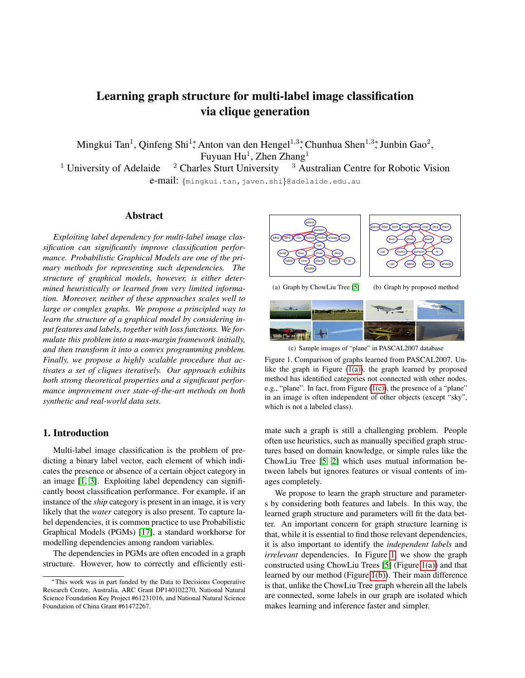# Learning graph structure for multi-label image classification via clique generation

Mingkui Tan<sup>1</sup>, Qinfeng Shi<sup>1</sup>\*, Anton van den Hengel<sup>1,3</sup>\*, Chunhua Shen<sup>1,3</sup>\*, Junbin Gao<sup>2</sup>, Fuyuan Hu $^1$ , Zhen Zhang $^1$ 

<sup>1</sup> University of Adelaide  $\frac{2}{3}$  Charles Sturt University  $\frac{3}{3}$  Australian Centre for Robotic Vision e-mail: {mingkui.tan,javen.shi}@adelaide.edu.au

#### Abstract

*Exploiting label dependency for multi-label image classification can significantly improve classification performance. Probabilistic Graphical Models are one of the primary methods for representing such dependencies. The structure of graphical models, however, is either determined heuristically or learned from very limited information. Moreover, neither of these approaches scales well to large or complex graphs. We propose a principled way to learn the structure of a graphical model by considering input features and labels, together with loss functions. We formulate this problem into a max-margin framework initially, and then transform it into a convex programming problem. Finally, we propose a highly scalable procedure that activates a set of cliques iteratively. Our approach exhibits both strong theoretical properties and a significant performance improvement over state-of-the-art methods on both synthetic and real-world data sets.*

#### 1. Introduction

Multi-label image classification is the problem of predicting a binary label vector, each element of which indicates the presence or absence of a certain object category in an image [\[1,](#page-7-0) [3\]](#page-7-1). Exploiting label dependency can significantly boost classification performance. For example, if an instance of the *ship* category is present in an image, it is very likely that the *water* category is also present. To capture label dependencies, it is common practice to use Probabilistic Graphical Models (PGMs) [\[17\]](#page-8-0), a standard workhorse for modelling dependencies among random variables.

The dependencies in PGMs are often encoded in a graph structure. However, how to correctly and efficiently esti-

<span id="page-0-0"></span>

<span id="page-0-3"></span><span id="page-0-2"></span><span id="page-0-1"></span>(c) Sample images of "plane" in PASCAL2007 database

mate such a graph is still a challenging problem. People often use heuristics, such as manually specified graph structures based on domain knowledge, or simple rules like the ChowLiu Tree [\[5,](#page-7-2) [2\]](#page-7-3) which uses mutual information between labels but ignores features or visual contents of images completely.

We propose to learn the graph structure and parameters by considering both features and labels. In this way, the learned graph structure and parameters will fit the data better. An important concern for graph structure learning is that, while it is essential to find those relevant dependencies, it is also important to identify the *independent labels* and *irrelevant* dependencies. In Figure [1,](#page-0-2) we show the graph constructed using ChowLiu Trees [\[5\]](#page-7-2) (Figure [1\(a\)\)](#page-0-0) and that learned by our method (Figure [1\(b\)\)](#page-0-3). Their main difference is that, unlike the ChowLiu Tree graph wherein all the labels are connected, some labels in our graph are isolated which makes learning and inference faster and simpler.

<sup>∗</sup>This work was in part funded by the Data to Decisions Cooperative Research Centre, Australia, ARC Grant DP140102270, National Natural Science Foundation Key Project #61231016, and National Natural Science Foundation of China Grant #61472267.

Figure 1. Comparison of graphs learned from PASCAL2007. Unlike the graph in Figure  $(1(a))$ , the graph learned by proposed method has identified categories not connected with other nodes, e.g., "plane". In fact, from Figure [\(1\(c\)\)](#page-0-1), the presence of a "plane" in an image is often independent of other objects (except "sky", which is not a labeled class).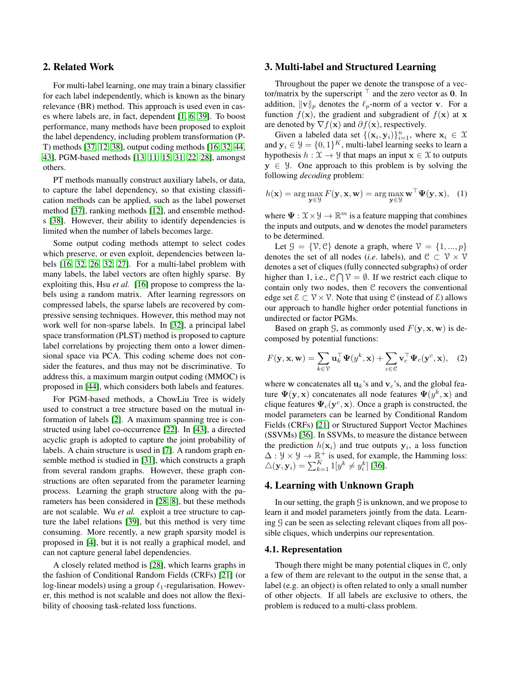## 2. Related Work

For multi-label learning, one may train a binary classifier for each label independently, which is known as the binary relevance (BR) method. This approach is used even in cases where labels are, in fact, dependent [\[1,](#page-7-0) [6,](#page-7-4) [39\]](#page-9-0). To boost performance, many methods have been proposed to exploit the label dependency, including problem transformation (P-T) methods [\[37,](#page-9-1) [12,](#page-8-1) [38\]](#page-9-2), output coding methods [\[16,](#page-8-2) [32,](#page-8-3) [44,](#page-9-3) [43\]](#page-9-4), PGM-based methods [\[13,](#page-8-4) [11,](#page-8-5) [15,](#page-8-6) [31,](#page-8-7) [22,](#page-8-8) [28\]](#page-8-9), amongst others.

PT methods manually construct auxiliary labels, or data, to capture the label dependency, so that existing classification methods can be applied, such as the label powerset method [\[37\]](#page-9-1), ranking methods [\[12\]](#page-8-1), and ensemble method-s [\[38\]](#page-9-2). However, their ability to identify dependencies is limited when the number of labels becomes large.

Some output coding methods attempt to select codes which preserve, or even exploit, dependencies between labels [\[16,](#page-8-2) [32,](#page-8-3) [26,](#page-8-10) [32,](#page-8-3) [27\]](#page-8-11). For a multi-label problem with many labels, the label vectors are often highly sparse. By exploiting this, Hsu *et al.* [\[16\]](#page-8-2) propose to compress the labels using a random matrix. After learning regressors on compressed labels, the sparse labels are recovered by compressive sensing techniques. However, this method may not work well for non-sparse labels. In [\[32\]](#page-8-3), a principal label space transformation (PLST) method is proposed to capture label correlations by projecting them onto a lower dimensional space via PCA. This coding scheme does not consider the features, and thus may not be discriminative. To address this, a maximum margin output coding (MMOC) is proposed in [\[44\]](#page-9-3), which considers both labels and features.

For PGM-based methods, a ChowLiu Tree is widely used to construct a tree structure based on the mutual information of labels [\[2\]](#page-7-3). A maximum spanning tree is constructed using label co-occurrence [\[22\]](#page-8-8). In [\[43\]](#page-9-4), a directed acyclic graph is adopted to capture the joint probability of labels. A chain structure is used in [\[7\]](#page-8-12). A random graph ensemble method is studied in [\[31\]](#page-8-7), which constructs a graph from several random graphs. However, these graph constructions are often separated from the parameter learning process. Learning the graph structure along with the parameters has been considered in [\[28,](#page-8-9) [8\]](#page-8-13), but these methods are not scalable. Wu *et al.* exploit a tree structure to capture the label relations [\[39\]](#page-9-0), but this method is very time consuming. More recently, a new graph sparsity model is proposed in [\[4\]](#page-7-5), but it is not really a graphical model, and can not capture general label dependencies.

A closely related method is [\[28\]](#page-8-9), which learns graphs in the fashion of Conditional Random Fields (CRFs) [\[21\]](#page-8-14) (or log-linear models) using a group  $\ell_1$ -regularisation. However, this method is not scalable and does not allow the flexibility of choosing task-related loss functions.

## 3. Multi-label and Structured Learning

Throughout the paper we denote the transpose of a vector/matrix by the superscript  $\top$  and the zero vector as 0. In addition,  $\|\mathbf{v}\|_p$  denotes the  $\ell_p$ -norm of a vector v. For a function  $f(\mathbf{x})$ , the gradient and subgradient of  $f(\mathbf{x})$  at x are denoted by  $\nabla f(\mathbf{x})$  and  $\partial f(\mathbf{x})$ , respectively.

Given a labeled data set  $\{(\mathbf{x}_i, \mathbf{y}_i)\}_{i=1}^n$ , where  $\mathbf{x}_i \in \mathcal{X}$ and  $y_i \in \mathcal{Y} = \{0, 1\}^K$ , multi-label learning seeks to learn a hypothesis  $h : \mathfrak{X} \to \mathfrak{Y}$  that maps an input  $\mathbf{x} \in \mathfrak{X}$  to outputs  $y \in \mathcal{Y}$ . One approach to this problem is by solving the following *decoding* problem:

$$
h(\mathbf{x}) = \arg\max_{\mathbf{y} \in \mathcal{Y}} F(\mathbf{y}, \mathbf{x}, \mathbf{w}) = \arg\max_{\mathbf{y} \in \mathcal{Y}} \mathbf{w}^{\top} \Psi(\mathbf{y}, \mathbf{x}), \quad (1)
$$

where  $\Psi : \mathfrak{X} \times \mathfrak{Y} \to \mathbb{R}^m$  is a feature mapping that combines the inputs and outputs, and w denotes the model parameters to be determined.

Let  $\mathcal{G} = \{ \mathcal{V}, \mathcal{C} \}$  denote a graph, where  $\mathcal{V} = \{1, ..., p\}$ denotes the set of all nodes (*i.e.* labels), and  $\mathcal{C} \subset \mathcal{V} \times \mathcal{V}$ denotes a set of cliques (fully connected subgraphs) of order higher than 1, i.e.,  $C \bigcap V = \emptyset$ . If we restrict each clique to contain only two nodes, then C recovers the conventional edge set  $\mathcal{E} \subset \mathcal{V} \times \mathcal{V}$ . Note that using C (instead of  $\mathcal{E}$ ) allows our approach to handle higher order potential functions in undirected or factor PGMs.

Based on graph  $\mathcal{G}$ , as commonly used  $F(\mathbf{y}, \mathbf{x}, \mathbf{w})$  is decomposed by potential functions:

$$
F(\mathbf{y}, \mathbf{x}, \mathbf{w}) = \sum_{k \in \mathcal{V}} \mathbf{u}_k^{\top} \boldsymbol{\Psi}(y^k, \mathbf{x}) + \sum_{c \in \mathcal{C}} \mathbf{v}_c^{\top} \boldsymbol{\Psi}_c(\mathbf{y}^c, \mathbf{x}), \quad (2)
$$

where w concatenates all  $\mathbf{u}_k$ 's and  $\mathbf{v}_c$ 's, and the global feature  $\Psi(y, x)$  concatenates all node features  $\Psi(y^k, x)$  and clique features  $\Psi_c(\mathbf{y}^c, \mathbf{x})$ . Once a graph is constructed, the model parameters can be learned by Conditional Random Fields (CRFs) [\[21\]](#page-8-14) or Structured Support Vector Machines (SSVMs) [\[36\]](#page-9-5). In SSVMs, to measure the distance between the prediction  $h(\mathbf{x}_i)$  and true outputs  $\mathbf{y}_i$ , a loss function  $\Delta : \mathcal{Y} \times \mathcal{Y} \to \mathbb{R}^+$  is used, for example, the Hamming loss:  $\triangle(\mathbf{y}, \mathbf{y}_i) = \sum_{k=1}^K 1[y^k \neq y_i^k]$  [\[36\]](#page-9-5).

## 4. Learning with Unknown Graph

In our setting, the graph  $\mathcal G$  is unknown, and we propose to learn it and model parameters jointly from the data. Learning  $\mathcal G$  can be seen as selecting relevant cliques from all possible cliques, which underpins our representation.

#### 4.1. Representation

Though there might be many potential cliques in C, only a few of them are relevant to the output in the sense that, a label (e.g. an object) is often related to only a small number of other objects. If all labels are exclusive to others, the problem is reduced to a multi-class problem.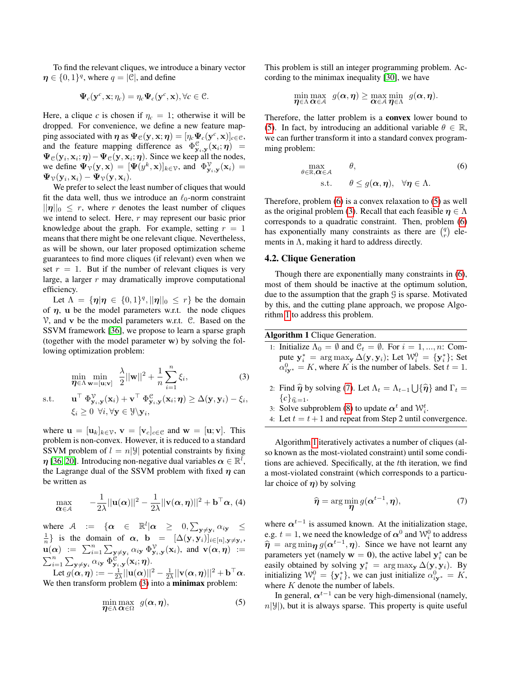To find the relevant cliques, we introduce a binary vector  $\eta \in \{0,1\}^q$ , where  $q = |\mathcal{C}|$ , and define

$$
\mathbf{\Psi}_c(\mathbf{y}^c, \mathbf{x}; \eta_c) = \eta_c \mathbf{\Psi}_c(\mathbf{y}^c, \mathbf{x}), \forall c \in \mathcal{C}.
$$

Here, a clique *c* is chosen if  $\eta_c = 1$ ; otherwise it will be dropped. For convenience, we define a new feature mapping associated with  $\boldsymbol{\eta}$  as  $\boldsymbol{\Psi}_{\mathcal{C}}(\mathbf{y}, \mathbf{x}; \boldsymbol{\eta}) = [\eta_c \boldsymbol{\Psi}_c(\mathbf{y}^c, \mathbf{x})]_{c \in \mathcal{C}}$ , and the feature mapping difference as  $\Phi_{\mathbf{y}_i,\mathbf{y}}^{\mathcal{C}}(\mathbf{x}_i;\boldsymbol{\eta}) =$  $\Psi_{\mathcal{C}}(\mathbf{y}_i, \mathbf{x}_i; \boldsymbol{\eta}) - \Psi_{\mathcal{C}}(\mathbf{y}, \mathbf{x}_i; \boldsymbol{\eta})$ . Since we keep all the nodes, we define  $\Psi_{\mathcal{V}}(\mathbf{y}, \mathbf{x}) = [\Psi(y^k, \mathbf{x})]_{k \in \mathcal{V}}$ , and  $\Phi_{\mathbf{y}_i, \mathbf{y}}^{\mathcal{V}}(\mathbf{x}_i) =$  $\Psi_{\mathcal{V}}(\mathbf{y}_i, \mathbf{x}_i) - \Psi_{\mathcal{V}}(\mathbf{y}, \mathbf{x}_i).$ 

We prefer to select the least number of cliques that would fit the data well, thus we introduce an  $\ell_0$ -norm constraint  $||\eta||_0 \leq r$ , where r denotes the least number of cliques we intend to select. Here, r may represent our basic prior knowledge about the graph. For example, setting  $r = 1$ means that there might be one relevant clique. Nevertheless, as will be shown, our later proposed optimization scheme guarantees to find more cliques (if relevant) even when we set  $r = 1$ . But if the number of relevant cliques is very large, a larger  $r$  may dramatically improve computational efficiency.

Let  $\Lambda = \{ \eta | \eta \in \{0,1\}^q, ||\eta||_0 \leq r \}$  be the domain of  $\eta$ , u be the model parameters w.r.t. the node cliques  $V$ , and v be the model parameters w.r.t.  $C$ . Based on the SSVM framework [\[36\]](#page-9-5), we propose to learn a sparse graph (together with the model parameter w) by solving the following optimization problem:

<span id="page-2-0"></span>
$$
\min_{\boldsymbol{\eta} \in \Lambda} \min_{\mathbf{w} = [\mathbf{u}; \mathbf{v}]} \quad \frac{\lambda}{2} ||\mathbf{w}||^2 + \frac{1}{n} \sum_{i=1}^n \xi_i,
$$
\n(3)

s.t.  $\begin{split} \top\ \Phi_{\mathbf y_i,\mathbf y}^{\mathcal V}(\mathbf x_i) + \mathbf v^\top\ \Phi_{\mathbf y_i,\mathbf y}^{\mathcal C}(\mathbf x_i;\boldsymbol\eta) \geq \Delta(\mathbf y,\mathbf y_i) - \xi_i, \end{split}$  $\xi_i \geq 0 \ \ \forall i, \forall \mathbf{y} \in \mathcal{Y}\backslash \mathbf{y}_i,$ 

where  $\mathbf{u} = [\mathbf{u}_k]_{k \in \mathcal{V}}$ ,  $\mathbf{v} = [\mathbf{v}_c]_{c \in \mathcal{C}}$  and  $\mathbf{w} = [\mathbf{u}; \mathbf{v}]$ . This problem is non-convex. However, it is reduced to a standard SSVM problem of  $l = n|\mathcal{Y}|$  potential constraints by fixing  $\eta$  [\[36,](#page-9-5) [20\]](#page-8-15). Introducing non-negative dual variables  $\alpha \in \mathbb{R}^l$ , the Lagrange dual of the SSVM problem with fixed  $\eta$  can be written as

<span id="page-2-5"></span>
$$
\max_{\mathbf{\alpha} \in \mathcal{A}} \qquad -\frac{1}{2\lambda} ||\mathbf{u}(\mathbf{\alpha})||^2 - \frac{1}{2\lambda} ||\mathbf{v}(\mathbf{\alpha}, \boldsymbol{\eta})||^2 + \mathbf{b}^\top \mathbf{\alpha}, \, (4)
$$

where  $A$  := { $\alpha \in \mathbb{R}^l | \alpha \geq 0, \sum_{\mathbf{y} \neq \mathbf{y}_i} \alpha_{i\mathbf{y}} \leq$  $\frac{1}{n}$ } is the domain of  $\alpha$ , **b** =  $[\Delta(\mathbf{y}, \mathbf{y}_i)]_{i \in [n], \mathbf{y} \neq \mathbf{y}_i}$ ,  $\mathbf{u}(\alpha) := \sum_{i=1}^n \sum_{\mathbf{y} \neq \mathbf{y}_i} \alpha_{i\mathbf{y}} \Phi_{\mathbf{y}_i,\mathbf{y}}^{\mathcal{V}}(\mathbf{x}_i)$ , and  $\mathbf{v}(\alpha, \eta) :=$  $\sum_{i=1}^n\sum_{\mathbf{y}\neq\mathbf{y}_i}\alpha_{i\mathbf{y}}\,\Phi_{\mathbf{y}_i,\mathbf{y}}^{\mathfrak{S}^\prime}(\mathbf{x}_i;\boldsymbol{\eta}).$ 

Let  $g(\boldsymbol{\alpha},\boldsymbol{\eta}) := -\frac{1}{2\lambda}||\mathbf{u}(\boldsymbol{\alpha})||^2 - \frac{1}{2\lambda}||\mathbf{v}(\boldsymbol{\alpha},\boldsymbol{\eta})||^2 + \mathbf{b}^\top\boldsymbol{\alpha}.$ We then transform problem [\(3\)](#page-2-0) into a **minimax** problem:

<span id="page-2-1"></span>
$$
\min_{\boldsymbol{\eta} \in \Lambda} \max_{\boldsymbol{\alpha} \in \Omega} \ g(\boldsymbol{\alpha}, \boldsymbol{\eta}), \tag{5}
$$

This problem is still an integer programming problem. According to the minimax inequality [\[30\]](#page-8-16), we have

$$
\min_{\boldsymbol{\eta}\in \Lambda}\max_{\boldsymbol{\alpha}\in\mathcal{A}}\ \ g(\boldsymbol{\alpha},\boldsymbol{\eta})\geq \max_{\boldsymbol{\alpha}\in\mathcal{A}}\min_{\boldsymbol{\eta}\in\Lambda}\ \ g(\boldsymbol{\alpha},\boldsymbol{\eta}).
$$

Therefore, the latter problem is a convex lower bound to [\(5\)](#page-2-1). In fact, by introducing an additional variable  $\theta \in \mathbb{R}$ , we can further transform it into a standard convex programming problem:

<span id="page-2-2"></span>
$$
\begin{array}{ll}\n\max_{\theta \in \mathbb{R}, \alpha \in \mathcal{A}} & \theta, \\
\text{s.t.} & \theta \le g(\alpha, \eta), \quad \forall \eta \in \Lambda.\n\end{array} \tag{6}
$$

Therefore, problem [\(6\)](#page-2-2) is a convex relaxation to [\(5\)](#page-2-1) as well as the original problem [\(3\)](#page-2-0). Recall that each feasible  $\eta \in \Lambda$ corresponds to a quadratic constraint. Then, problem [\(6\)](#page-2-2) has exponentially many constraints as there are  $\binom{q}{r}$  elements in  $\Lambda$ , making it hard to address directly.

### 4.2. Clique Generation

Though there are exponentially many constraints in [\(6\)](#page-2-2), most of them should be inactive at the optimum solution, due to the assumption that the graph G is sparse. Motivated by this, and the cutting plane approach, we propose Algorithm [1](#page-2-3) to address this problem.

<span id="page-2-3"></span>Algorithm 1 Clique Generation.

- 1: Initialize  $\Lambda_0 = \emptyset$  and  $\mathcal{C}_t = \emptyset$ . For  $i = 1, ..., n$ : Compute  $y_i^* = \arg \max_{\mathbf{y}} \Delta(\mathbf{y}, \mathbf{y}_i)$ ; Let  $\mathcal{W}_i^0 = {\mathbf{y}_i^*}$ ; Set  $\alpha_{i\mathbf{y}^*}^0 = K$ , where K is the number of labels. Set  $t = 1$ .
- 2: Find  $\hat{\eta}$  by solving [\(7\)](#page-2-4). Let  $\Lambda_t = \Lambda_{t-1} \bigcup {\{\hat{\eta}\}}$  and  $\Gamma_t =$  $\{c\}_{\widehat{\eta_c}=1}.$
- 3: Solve subproblem [\(8\)](#page-3-0) to update  $\alpha^t$  and  $\mathcal{W}_i^t$ .
- 4: Let  $t = t + 1$  and repeat from Step 2 until convergence.

Algorithm [1](#page-2-3) iteratively activates a number of cliques (also known as the most-violated constraint) until some conditions are achieved. Specifically, at the tth iteration, we find a most-violated constraint (which corresponds to a particular choice of  $\eta$ ) by solving

<span id="page-2-4"></span>
$$
\widehat{\boldsymbol{\eta}} = \arg\min_{\boldsymbol{\eta}} g(\boldsymbol{\alpha}^{t-1}, \boldsymbol{\eta}),\tag{7}
$$

where  $\alpha^{t-1}$  is assumed known. At the initialization stage, e.g.  $t=1,$  we need the knowledge of  $\boldsymbol{\alpha}^{0}$  and  $\mathcal{W}_{i}^{0}$  to address  $\hat{\eta} = \arg \min_{\eta} g(\alpha^{t-1}, \eta)$ . Since we have not learnt any normators yet (namely  $w = 0$ ), the equivalently  $x^*$  can be parameters yet (namely  $w = 0$ ), the active label  $y_i^*$  can be easily obtained by solving  $y_i^* = \arg \max_{y} \Delta(y, y_i)$ . By initializing  $\mathcal{W}_i^0 = \{ \mathbf{y}_i^* \}$ , we can just initialize  $\alpha_{i\mathbf{y}^*}^0 = K$ , where  $K$  denote the number of labels.

In general,  $\alpha^{t-1}$  can be very high-dimensional (namely,  $n|\mathcal{Y}|$ ), but it is always sparse. This property is quite useful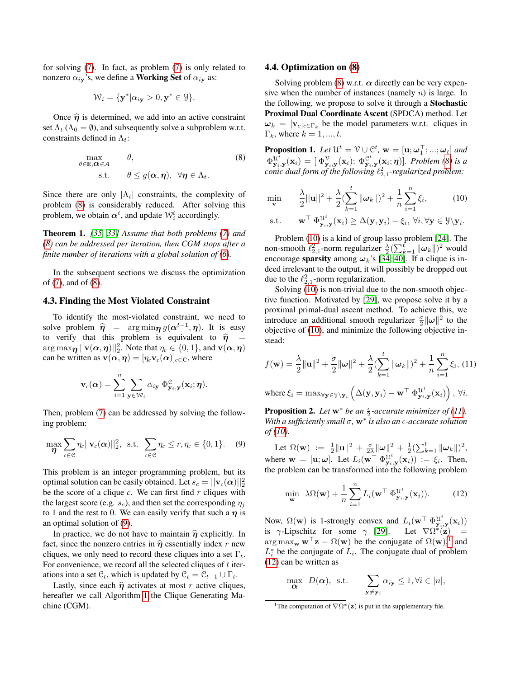for solving [\(7\)](#page-2-4). In fact, as problem [\(7\)](#page-2-4) is only related to nonzero  $\alpha_{i\mathbf{y}}$ 's, we define a **Working Set** of  $\alpha_{i\mathbf{y}}$  as:

$$
\mathcal{W}_i = \{ \mathbf{y}^* | \alpha_{i\mathbf{y}} > 0, \mathbf{y}^* \in \mathcal{Y} \}.
$$

Once  $\hat{\eta}$  is determined, we add into an active constraint set  $\Lambda_t$  ( $\Lambda_0 = \emptyset$ ), and subsequently solve a subproblem w.r.t. constraints defined in  $\Lambda_t$ :

<span id="page-3-0"></span>
$$
\max_{\theta \in \mathbb{R}, \alpha \in \mathcal{A}} \qquad \theta, \tag{8}
$$
  
s.t. 
$$
\theta \le g(\alpha, \eta), \ \forall \eta \in \Lambda_t.
$$

Since there are only  $|\Lambda_t|$  constraints, the complexity of problem [\(8\)](#page-3-0) is considerably reduced. After solving this problem, we obtain  $\boldsymbol{\alpha}^t$ , and update  $\mathcal{W}_i^t$  accordingly.

<span id="page-3-6"></span>Theorem 1. *[\[35,](#page-8-17) [33\]](#page-8-18) Assume that both problems [\(7\)](#page-2-4) and [\(8\)](#page-3-0) can be addressed per iteration, then CGM stops after a finite number of iterations with a global solution of [\(6\)](#page-2-2).*

In the subsequent sections we discuss the optimization of [\(7\)](#page-2-4), and of [\(8\)](#page-3-0).

## 4.3. Finding the Most Violated Constraint

To identify the most-violated constraint, we need to solve problem  $\hat{\eta} = \arg \min_{\eta} g(\alpha^{t-1}, \eta)$ . It is easy to verify that this problem is equivalent to  $\hat{\eta}$  =  $\arg\max_{\pmb{\eta}} ||\mathbf{v}(\pmb{\alpha},\pmb{\eta})||_2^2$ . Note that  $\eta_c \in \{0,1\}$ , and  $\mathbf{v}(\pmb{\alpha},\pmb{\eta})$ can be written as  $\mathbf{v}(\alpha, \eta) = [\eta_c \mathbf{v}_c(\alpha)]_{c \in \mathcal{C}}$ , where

$$
\mathbf{v}_c(\boldsymbol{\alpha}) = \sum_{i=1}^n \sum_{\mathbf{y} \in \mathcal{W}_i} \alpha_{i\mathbf{y}} \, \Phi_{\mathbf{y}_i, \mathbf{y}}^{\mathcal{C}}(\mathbf{x}_i; \boldsymbol{\eta}).
$$

Then, problem [\(7\)](#page-2-4) can be addressed by solving the following problem:

<span id="page-3-1"></span>
$$
\max_{\boldsymbol{\eta}} \sum_{c \in \mathcal{C}} \eta_c ||\mathbf{v}_c(\boldsymbol{\alpha})||_2^2, \text{ s.t. } \sum_{c \in \mathcal{C}} \eta_c \le r, \eta_c \in \{0, 1\}. \quad (9)
$$

This problem is an integer programming problem, but its optimal solution can be easily obtained. Let  $s_c = ||\mathbf{v}_c(\boldsymbol{\alpha})||_2^2$ be the score of a clique *c*. We can first find *r* cliques with the largest score (e.g.  $s_c$ ), and then set the corresponding  $\eta_i$ to 1 and the rest to 0. We can easily verify that such a  $\eta$  is an optimal solution of [\(9\)](#page-3-1).

In practice, we do not have to maintain  $\hat{\eta}$  explicitly. In fact, since the nonzero entries in  $\hat{\eta}$  essentially index r new cliques, we only need to record these cliques into a set  $\Gamma_t$ . For convenience, we record all the selected cliques of  $t$  iterations into a set  $\mathcal{C}_t$ , which is updated by  $\mathcal{C}_t = \mathcal{C}_{t-1} \cup \Gamma_t$ .

Lastly, since each  $\hat{\eta}$  activates at most r active cliques, hereafter we call Algorithm [1](#page-2-3) the Clique Generating Machine (CGM).

#### 4.4. Optimization on [\(8\)](#page-3-0)

Solving problem [\(8\)](#page-3-0) w.r.t.  $\alpha$  directly can be very expensive when the number of instances (namely  $n$ ) is large. In the following, we propose to solve it through a Stochastic Proximal Dual Coordinate Ascent (SPDCA) method. Let  $\boldsymbol{\omega}_k = [\mathbf{v}_c]_{c \in \Gamma_k}$  be the model parameters w.r.t. cliques in  $\Gamma_k$ , where  $k = 1, ..., t$ .

<span id="page-3-7"></span>**Proposition 1.** Let  $\mathcal{U}^t = \mathcal{V} \cup \mathcal{C}^t$ ,  $\mathbf{w} = [\mathbf{u}; \boldsymbol{\omega}_1^\top; ...; \boldsymbol{\omega}_t]$  and  $\Phi_{\mathbf{y}_i,\mathbf{y}}^{\mathcal{U}^t}(\mathbf{x}_i) = [\Phi_{\mathbf{y}_i,\mathbf{y}}^{\mathcal{V}}(\mathbf{x}_i); \ \Phi_{\mathbf{y}_i,\mathbf{y}}^{\mathcal{C}^t}(\mathbf{x}_i;\boldsymbol{\eta})]$ *. Problem [\(8\)](#page-3-0) is a conic dual form of the following*  $\ell_{2,1}^2$ -regularized problem:

<span id="page-3-2"></span>
$$
\min_{\mathbf{v}} \qquad \frac{\lambda}{2} ||\mathbf{u}||^2 + \frac{\lambda}{2} (\sum_{k=1}^t ||\boldsymbol{\omega}_k||)^2 + \frac{1}{n} \sum_{i=1}^n \xi_i, \tag{10}
$$

$$
\text{s.t.} \qquad \mathbf{w}^\top \Phi_{\mathbf{y}_i, \mathbf{y}}^{\mathbf{u}^t}(\mathbf{x}_i) \geq \Delta(\mathbf{y}, \mathbf{y}_i) - \xi_i, \ \forall i, \forall \mathbf{y} \in \mathcal{Y} \setminus \mathbf{y}_i.
$$

Problem [\(10\)](#page-3-2) is a kind of group lasso problem [\[24\]](#page-8-19). The non-smooth  $\ell_{2,1}^2$ -norm regularizer  $\frac{\lambda}{2} (\sum_{k=1}^t ||\boldsymbol{\omega}_k||)^2$  would encourage sparsity among  $\omega_k$ 's [\[34,](#page-8-20) [40\]](#page-9-6). If a clique is indeed irrelevant to the output, it will possibly be dropped out due to the  $\ell_{2,1}^2$ -norm regularization.

Solving [\(10\)](#page-3-2) is non-trivial due to the non-smooth objective function. Motivated by [\[29\]](#page-8-21), we propose solve it by a proximal primal-dual ascent method. To achieve this, we introduce an additional smooth regularizer  $\frac{\sigma}{2} ||\boldsymbol{\omega}||^2$  to the objective of [\(10\)](#page-3-2), and minimize the following objective instead:

<span id="page-3-3"></span>
$$
f(\mathbf{w}) = \frac{\lambda}{2} ||\mathbf{u}||^2 + \frac{\sigma}{2} ||\boldsymbol{\omega}||^2 + \frac{\lambda}{2} \left(\sum_{k=1}^t ||\boldsymbol{\omega}_k||\right)^2 + \frac{1}{n} \sum_{i=1}^n \xi_i, (11)
$$

where  $\xi_i = \max_{\forall \mathbf{y} \in \mathcal{Y} \setminus \mathbf{y}_i} \left( \Delta(\mathbf{y}, \mathbf{y}_i) - \mathbf{w}^\top \Phi^{\mathcal{U}^t}_{\mathbf{y}_i, \mathbf{y}}(\mathbf{x}_i) \right), \ \forall i.$ 

<span id="page-3-8"></span>**Proposition 2.** Let  $w^*$  be an  $\frac{\epsilon}{2}$ -accurate minimizer of [\(11\)](#page-3-3). *With a sufficiently small* σ*,* w<sup>∗</sup> *is also an -accurate solution of [\(10\)](#page-3-2).*

Let  $\Omega(\mathbf{w}) \; := \; \frac{1}{2} \|\mathbf{u}\|^2 \, + \, \frac{\sigma}{2\lambda} \|\boldsymbol{\omega}\|^2 \, + \, \frac{1}{2} (\sum_{k=1}^t \|\boldsymbol{\omega}_k\|)^2,$ where  $\mathbf{w} = [\mathbf{u}; \omega]$ . Let  $L_i(\mathbf{w}^\top \Phi_{\mathbf{y}_i, \mathbf{y}}^{\mathcal{U}^t}(\mathbf{x}_i)) := \xi_i$ . Then, the problem can be transformed into the following problem

<span id="page-3-5"></span>
$$
\min_{\mathbf{w}} \ \lambda \Omega(\mathbf{w}) + \frac{1}{n} \sum_{i=1}^{n} L_i(\mathbf{w}^\top \Phi_{\mathbf{y}_i, \mathbf{y}}^{\mathcal{U}^t}(\mathbf{x}_i)). \tag{12}
$$

Now,  $\Omega(\mathbf{w})$  is 1-strongly convex and  $L_i(\mathbf{w}^\top \Phi_{\mathbf{y}_i, \mathbf{y}}^{\mathcal{U}^t}(\mathbf{x}_i))$ is  $\gamma$ -Lipschitz for some  $\gamma$  [\[29\]](#page-8-21). Let  $\nabla \Omega^*(\mathbf{z})$  =  $\arg \max_{\mathbf{w}} \mathbf{w}^\top \mathbf{z} - \Omega(\mathbf{w})$  be the conjugate of  $\Omega(\mathbf{w})^1$  $\Omega(\mathbf{w})^1$ , and  $L_i^*$  be the conjugate of  $L_i$ . The conjugate dual of problem [\(12\)](#page-3-5) can be written as

$$
\max_{\mathbf{\alpha}} D(\mathbf{\alpha}), \text{ s.t.} \qquad \sum_{\mathbf{y} \neq \mathbf{y}_i} \alpha_{i\mathbf{y}} \leq 1, \forall i \in [n],
$$

<span id="page-3-4"></span><sup>&</sup>lt;sup>1</sup>The computation of  $\nabla \Omega^*(\mathbf{z})$  is put in the supplementary file.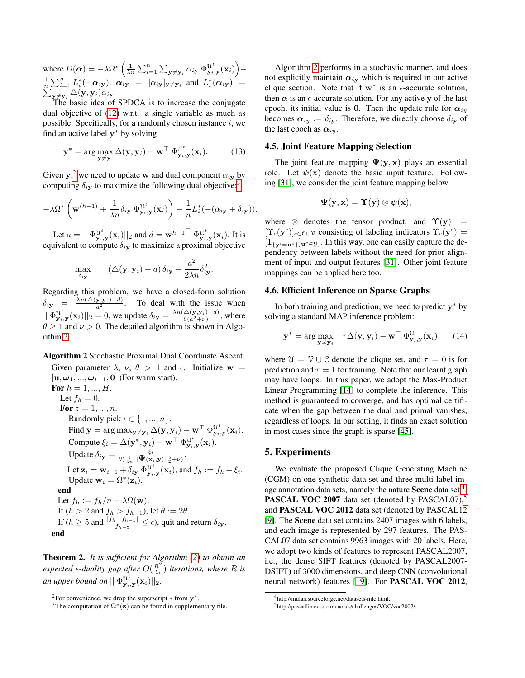where  $D(\alpha) = -\lambda \Omega^* \left( \frac{1}{\lambda n} \sum_{i=1}^n \sum_{\mathbf{y} \neq \mathbf{y}_i} \alpha_{i\mathbf{y}} \Phi_{\mathbf{y}_i,\mathbf{y}}^{\mathbf{u}^t}(\mathbf{x}_i) \right) \frac{1}{n} \sum_{i=1}^n L_i^*(-\alpha_{iy}), \ \alpha_{iy} = [\alpha_{iy}]_{y \neq y_i}$  and  $L_i^*$ <br> $\sum_{w \neq w} \triangle(y, y_i) \alpha_{iy}.$  $(\boldsymbol{\alpha_{i\mathbf{y}}})$  =  ${}_{\mathbf{y} \neq \mathbf{y}_i} \triangle(\mathbf{y}, \mathbf{y}_i) \alpha_{i\mathbf{y}}.$ 

The basic idea of SPDCA is to increase the conjugate dual objective of [\(12\)](#page-3-5) w.r.t. a single variable as much as possible. Specifically, for a randomly chosen instance  $i$ , we find an active label  $y^*$  by solving

$$
\mathbf{y}^* = \arg \max_{\mathbf{y} \neq \mathbf{y}_i} \Delta(\mathbf{y}, \mathbf{y}_i) - \mathbf{w}^\top \Phi_{\mathbf{y}_i, \mathbf{y}}^{\mathcal{U}^t}(\mathbf{x}_i).
$$
 (13)

Given y,<sup>[2](#page-4-0)</sup> we need to update w and dual component  $\alpha_{i}$  by computing  $\delta_{i\mathbf{v}}$  to maximize the following dual objective:<sup>[3](#page-4-1)</sup>

<span id="page-4-5"></span>
$$
-\lambda \Omega^* \left( \mathbf{w}^{(h-1)} + \frac{1}{\lambda n} \delta_{i\mathbf{y}} \, \Phi_{\mathbf{y}_i, \mathbf{y}}^{\mathcal{U}^t}(\mathbf{x}_i) \right) - \frac{1}{n} L_i^* (- (\alpha_{i\mathbf{y}} + \delta_{i\mathbf{y}})).
$$

Let  $a = || \Phi_{\mathbf{y}_i, \mathbf{y}}^{\mathcal{U}^t}(\mathbf{x}_i) ||_2$  and  $d = \mathbf{w}^{h-1}^{\top} \Phi_{\mathbf{y}_i, \mathbf{y}}^{\mathcal{U}^t}(\mathbf{x}_i)$ . It is equivalent to compute  $\delta_{i\mathbf{y}}$  to maximize a proximal objective

$$
\max_{\delta_{i_{\mathbf{y}}}} \qquad \left(\triangle(\mathbf{y}, \mathbf{y}_i) - d\right) \delta_{i_{\mathbf{y}}} - \frac{a^2}{2\lambda n} \delta_{i_{\mathbf{y}}}^2.
$$

Regarding this problem, we have a closed-form solution  $\delta_{iy} = \frac{\lambda n (\triangle(y, y_i) - d)}{a^2}$ . To deal with the issue when  $|| \Phi_{\mathbf{y}_i, \mathbf{y}}^{U^t}(\mathbf{x}_i) ||_2 = 0$ , we update  $\delta_{i\mathbf{y}} = \frac{\lambda n (\triangle(\mathbf{y}, \mathbf{y}_i) - d)}{\theta(a^2 + \nu)}$ , where  $\theta \ge 1$  and  $\nu > 0$ . The detailed algorithm is shown in Algorithm [2.](#page-4-2)

#### <span id="page-4-2"></span>Algorithm 2 Stochastic Proximal Dual Coordinate Ascent.

Given parameter  $\lambda$ ,  $\nu$ ,  $\theta$  > 1 and  $\epsilon$ . Initialize w =  $[\mathbf{u}; \omega_1; ..., \omega_{t-1}; \mathbf{0}]$  (For warm start). For  $h = 1, ..., H$ . Let  $f_h = 0$ . For  $z = 1, ..., n$ . Randomly pick  $i \in \{1, ..., n\}$ . Find  $\mathbf{y} = \arg \max_{\mathbf{y} \neq \mathbf{y}_i} \Delta(\mathbf{y}, \mathbf{y}_i) - \mathbf{w}^\top \Phi^{\mathcal{U}^t}_{\mathbf{y}_i, \mathbf{y}}(\mathbf{x}_i).$ Compute  $\xi_i = \Delta(\mathbf{y}^*, \mathbf{y}_i) - \mathbf{w}^\top \Phi_{\mathbf{y}_i, \mathbf{y}}^{\mathcal{U}^t}(\mathbf{x}_i).$ Update  $\delta_{i\mathbf{y}} = \frac{\xi_i}{\theta^{(i-1)} \mathbf{U}(\mathbf{x})}$  $\frac{\xi_i}{\theta(\frac{1}{\lambda n} ||\mathbf{\Psi}(\mathbf{x}_i, \mathbf{y})||_2^2 + \nu)} .$ Let  $\mathbf{z}_i = \mathbf{w}_{i-1} + \delta_{i\mathbf{y}} \ \Phi_{\mathbf{y}_i,\mathbf{y}}^{\mathcal{U}^t}(\mathbf{x}_i)$ , and  $f_h := f_h + \xi_i$ . Update  $\mathbf{w}_i = \Omega^*(\mathbf{z}_i)$ . end Let  $f_h := f_h/n + \lambda \Omega(\mathbf{w}).$ If  $(h > 2$  and  $f_h > f_{h-1}$ ), let  $\theta := 2\theta$ . If ( $h \geq 5$  and  $\frac{|f_h - f_{h-5}|}{f_{h-5}} \leq \epsilon$ ), quit and return  $\delta_{i\mathbf{y}}$ . end

<span id="page-4-6"></span>Theorem 2. *It is sufficient for Algorithm [\(2\)](#page-4-2) to obtain an expected*  $\epsilon$ -duality gap after  $O(\frac{R^2}{\lambda \epsilon})$  iterations, where R is *an upper bound on*  $\|\Phi^{\mathfrak{U}^t}_{\mathbf{y}_i,\mathbf{y}}(\mathbf{x}_i)\|_2$ .

Algorithm [2](#page-4-2) performs in a stochastic manner, and does not explicitly maintain  $\alpha_{iy}$  which is required in our active clique section. Note that if  $w^*$  is an  $\epsilon$ -accurate solution, then  $\alpha$  is an  $\epsilon$ -accurate solution. For any active y of the last epoch, its initial value is 0. Then the update rule for  $\alpha_{iy}$ becomes  $\alpha_{iy} := \delta_{iy}$ . Therefore, we directly choose  $\delta_{iy}$  of the last epoch as  $\alpha_{iv}$ .

#### 4.5. Joint Feature Mapping Selection

The joint feature mapping  $\Psi(\mathbf{v}, \mathbf{x})$  plays an essential role. Let  $\psi(\mathbf{x})$  denote the basic input feature. Following [\[31\]](#page-8-7), we consider the joint feature mapping below

$$
\Psi(\mathbf{y},\mathbf{x}) = \Upsilon(\mathbf{y}) \otimes \psi(\mathbf{x}),
$$

where  $\otimes$  denotes the tensor product, and  $\Upsilon(\mathbf{v})$  =  $[\Upsilon_c(\mathbf{y}^c)]_{c \in \mathcal{C} \cup \mathcal{V}}$  consisting of labeling indicators  $\Upsilon_c(\mathbf{y}^c)$  =  $[1_{\{y^c=u^c\}}]_{u^c\in\mathcal{Y}_c}$ . In this way, one can easily capture the dependency between labels without the need for prior alignment of input and output features [\[31\]](#page-8-7). Other joint feature mappings can be applied here too.

#### 4.6. Efficient Inference on Sparse Graphs

In both training and prediction, we need to predict  $y^*$  by solving a standard MAP inference problem:

$$
\mathbf{y}^* = \arg \max_{\mathbf{y} \neq \mathbf{y}_i} \quad \tau \Delta(\mathbf{y}, \mathbf{y}_i) - \mathbf{w}^\top \Phi_{\mathbf{y}_i, \mathbf{y}}^{\mathcal{U}}(\mathbf{x}_i), \quad (14)
$$

where  $\mathcal{U} = \mathcal{V} \cup \mathcal{C}$  denote the clique set, and  $\tau = 0$  is for prediction and  $\tau = 1$  for training. Note that our learnt graph may have loops. In this paper, we adopt the Max-Product Linear Programming [\[14\]](#page-8-22) to complete the inference. This method is guaranteed to converge, and has optimal certificate when the gap between the dual and primal vanishes, regardless of loops. In our setting, it finds an exact solution in most cases since the graph is sparse [\[45\]](#page-9-7).

### 5. Experiments

We evaluate the proposed Clique Generating Machine (CGM) on one synthetic data set and three multi-label image annotation data sets, namely the nature **Scene** data set  $^4$  $^4$ , **PASCAL VOC 2007** data set (denoted by PASCAL07), $5$ and PASCAL VOC 2012 data set (denoted by PASCAL12 [\[9\]](#page-8-23). The Scene data set contains 2407 images with 6 labels, and each image is represented by 297 features. The PAS-CAL07 data set contains 9963 images with 20 labels. Here, we adopt two kinds of features to represent PASCAL2007, i.e., the dense SIFT features (denoted by PASCAL2007- DSIFT) of 3000 dimensions, and deep CNN (convolutional neural network) features [\[19\]](#page-8-24). For PASCAL VOC 2012,

<span id="page-4-0"></span><sup>&</sup>lt;sup>2</sup>For convenience, we drop the superscript  $*$  from  $y^*$ .

<span id="page-4-1"></span><sup>&</sup>lt;sup>3</sup>The computation of  $\Omega^*(\mathbf{z})$  can be found in supplementary file.

<span id="page-4-3"></span><sup>4</sup> http://mulan.sourceforge.net/datasets-mlc.html.

<span id="page-4-4"></span><sup>5</sup> http://pascallin.ecs.soton.ac.uk/challenges/VOC/voc2007/.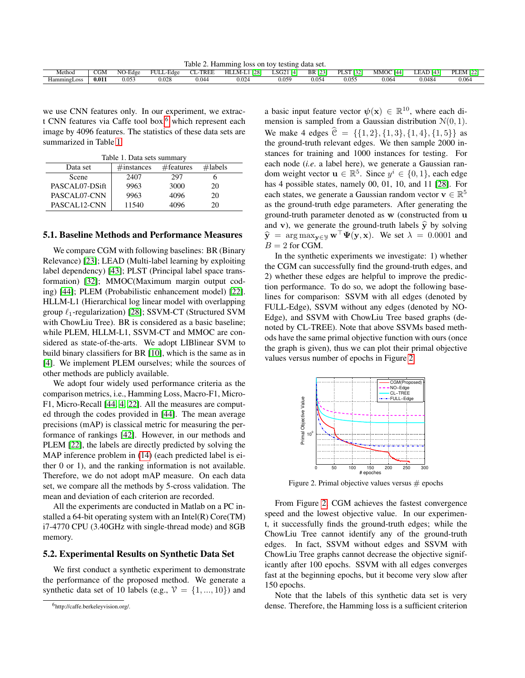<span id="page-5-3"></span>Table 2. Hamming loss on toy testing data set.

|             |                                |         |                | .<br>_____                  |                                          |               | .                |                                                      |                    |             |                               |
|-------------|--------------------------------|---------|----------------|-----------------------------|------------------------------------------|---------------|------------------|------------------------------------------------------|--------------------|-------------|-------------------------------|
| Method      | $\sim$ $\sim$ $\sim$<br>- UIVI | NO-Edge | FULL<br>.-Edge | <b>TREF</b><br><b>STATE</b> | $\overline{1281}$<br>HLLM-L <sub>1</sub> | LSG21<br>- La | <b>BR</b><br>500 | DI CT<br>$ \Gamma \rightarrow \gamma$<br>'LS.<br>132 | <b>MMOC</b><br>144 | 14٠<br>LEAL | PLEM $12.$<br>$F$ . For a $T$ |
| HammingLoss | 0.011                          | 0.053   | 0.028          | 0.044                       | 0.024                                    | 0.059         | 0.054            | 0.055                                                | 0.064              | J.0484      | 0.064                         |

we use CNN features only. In our experiment, we extrac-t CNN features via Caffe tool box,<sup>[6](#page-5-0)</sup> which represent each image by 4096 features. The statistics of these data sets are summarized in Table [1.](#page-5-1)

<span id="page-5-1"></span>Table 1. Data sets summary

| Data set       | $\#$ instances | $#$ features | $\#$ labels |  |  |  |
|----------------|----------------|--------------|-------------|--|--|--|
| Scene          | 2407           | 297          |             |  |  |  |
| PASCAL07-DSift | 9963           | 3000         | 20          |  |  |  |
| PASCAL07-CNN   | 9963           | 4096         | 20          |  |  |  |
| PASCAL12-CNN   | 11540          | 4096         | 20          |  |  |  |

#### 5.1. Baseline Methods and Performance Measures

We compare CGM with following baselines: BR (Binary Relevance) [\[23\]](#page-8-25); LEAD (Multi-label learning by exploiting label dependency) [\[43\]](#page-9-4); PLST (Principal label space transformation) [\[32\]](#page-8-3); MMOC(Maximum margin output coding) [\[44\]](#page-9-3); PLEM (Probabilistic enhancement model) [\[22\]](#page-8-8). HLLM-L1 (Hierarchical log linear model with overlapping group  $\ell_1$ -regularization) [\[28\]](#page-8-9); SSVM-CT (Structured SVM with ChowLiu Tree). BR is considered as a basic baseline; while PLEM, HLLM-L1, SSVM-CT and MMOC are considered as state-of-the-arts. We adopt LIBlinear SVM to build binary classifiers for BR [\[10\]](#page-8-26), which is the same as in [\[4\]](#page-7-5). We implement PLEM ourselves; while the sources of other methods are publicly available.

We adopt four widely used performance criteria as the comparison metrics, i.e., Hamming Loss, Macro-F1, Micro-F1, Micro-Recall [\[44,](#page-9-3) [4,](#page-7-5) [22\]](#page-8-8). All the measures are computed through the codes provided in [\[44\]](#page-9-3). The mean average precisions (mAP) is classical metric for measuring the performance of rankings [\[42\]](#page-9-8). However, in our methods and PLEM [\[22\]](#page-8-8), the labels are directly predicted by solving the MAP inference problem in [\(14\)](#page-4-5) (each predicted label is either 0 or 1), and the ranking information is not available. Therefore, we do not adopt mAP measure. On each data set, we compare all the methods by 5-cross validation. The mean and deviation of each criterion are recorded.

All the experiments are conducted in Matlab on a PC installed a 64-bit operating system with an Intel(R) Core(TM) i7-4770 CPU (3.40GHz with single-thread mode) and 8GB memory.

#### 5.2. Experimental Results on Synthetic Data Set

We first conduct a synthetic experiment to demonstrate the performance of the proposed method. We generate a synthetic data set of 10 labels (e.g.,  $V = \{1, ..., 10\}$ ) and

a basic input feature vector  $\psi(\mathbf{x}) \in \mathbb{R}^{10}$ , where each dimension is sampled from a Gaussian distribution  $N(0, 1)$ . We make 4 edges  $\hat{C} = \{\{1, 2\}, \{1, 3\}, \{1, 4\}, \{1, 5\}\}\$ as the ground-truth relevant edges. We then sample 2000 instances for training and 1000 instances for testing. For each node (*i.e*. a label here), we generate a Gaussian random weight vector  $\mathbf{u} \in \mathbb{R}^5$ . Since  $y^i \in \{0, 1\}$ , each edge has 4 possible states, namely 00, 01, 10, and 11 [\[28\]](#page-8-9). For each states, we generate a Gaussian random vector  $\mathbf{v} \in \mathbb{R}^5$ as the ground-truth edge parameters. After generating the ground-truth parameter denoted as w (constructed from u and v), we generate the ground-truth labels  $\hat{y}$  by solving  $\hat{\mathbf{y}} = \arg \max_{\mathbf{y} \in \mathcal{Y}} \mathbf{w}^\top \mathbf{\Psi}(\mathbf{y}, \mathbf{x})$ . We set  $\lambda = 0.0001$  and  $B = 2$  for CGM.

In the synthetic experiments we investigate: 1) whether the CGM can successfully find the ground-truth edges, and 2) whether these edges are helpful to improve the prediction performance. To do so, we adopt the following baselines for comparison: SSVM with all edges (denoted by FULL-Edge), SSVM without any edges (denoted by NO-Edge), and SSVM with ChowLiu Tree based graphs (denoted by CL-TREE). Note that above SSVMs based methods have the same primal objective function with ours (once the graph is given), thus we can plot their primal objective values versus number of epochs in Figure [2.](#page-5-2)



<span id="page-5-2"></span>Figure 2. Primal objective values versus  $#$  epochs

From Figure [2,](#page-5-2) CGM achieves the fastest convergence speed and the lowest objective value. In our experiment, it successfully finds the ground-truth edges; while the ChowLiu Tree cannot identify any of the ground-truth edges. In fact, SSVM without edges and SSVM with ChowLiu Tree graphs cannot decrease the objective significantly after 100 epochs. SSVM with all edges converges fast at the beginning epochs, but it become very slow after 150 epochs.

Note that the labels of this synthetic data set is very dense. Therefore, the Hamming loss is a sufficient criterion

<span id="page-5-0"></span><sup>&</sup>lt;sup>6</sup>http://caffe.berkeleyvision.org/.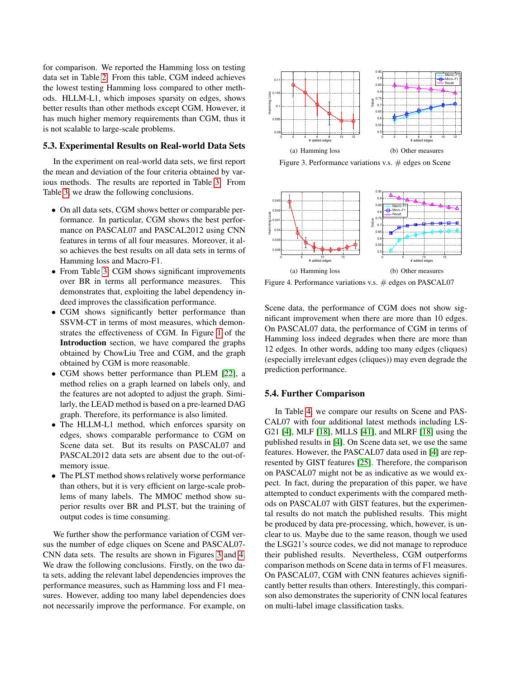for comparison. We reported the Hamming loss on testing data set in Table [2.](#page-5-3) From this table, CGM indeed achieves the lowest testing Hamming loss compared to other methods. HLLM-L1, which imposes sparsity on edges, shows better results than other methods except CGM. However, it has much higher memory requirements than CGM, thus it is not scalable to large-scale problems.

#### 5.3. Experimental Results on Real-world Data Sets

In the experiment on real-world data sets, we first report the mean and deviation of the four criteria obtained by various methods. The results are reported in Table [3.](#page-7-6) From Table [3,](#page-7-6) we draw the following conclusions.

- On all data sets, CGM shows better or comparable performance. In particular, CGM shows the best performance on PASCAL07 and PASCAL2012 using CNN features in terms of all four measures. Moreover, it also achieves the best results on all data sets in terms of Hamming loss and Macro-F1.
- From Table [3,](#page-7-6) CGM shows significant improvements over BR in terms all performance measures. This demonstrates that, exploiting the label dependency indeed improves the classification performance.
- CGM shows significantly better performance than SSVM-CT in terms of most measures, which demonstrates the effectiveness of CGM. In Figure [1](#page-0-2) of the Introduction section, we have compared the graphs obtained by ChowLiu Tree and CGM, and the graph obtained by CGM is more reasonable.
- CGM shows better performance than PLEM [\[22\]](#page-8-8), a method relies on a graph learned on labels only, and the features are not adopted to adjust the graph. Similarly, the LEAD method is based on a pre-learned DAG graph. Therefore, its performance is also limited.
- The HLLM-L1 method, which enforces sparsity on edges, shows comparable performance to CGM on Scene data set. But its results on PASCAL07 and PASCAL2012 data sets are absent due to the out-ofmemory issue.
- The PLST method shows relatively worse performance than others, but it is very efficient on large-scale problems of many labels. The MMOC method show superior results over BR and PLST, but the training of output codes is time consuming.

We further show the performance variation of CGM versus the number of edge cliques on Scene and PASCAL07- CNN data sets. The results are shown in Figures [3](#page-6-0) and [4.](#page-6-1) We draw the following conclusions. Firstly, on the two data sets, adding the relevant label dependencies improves the performance measures, such as Hamming loss and F1 measures. However, adding too many label dependencies does not necessarily improve the performance. For example, on



<span id="page-6-0"></span>Figure 3. Performance variations v.s.  $\#$  edges on Scene



<span id="page-6-1"></span>Figure 4. Performance variations v.s.  $#$  edges on PASCAL07

Scene data, the performance of CGM does not show significant improvement when there are more than 10 edges. On PASCAL07 data, the performance of CGM in terms of Hamming loss indeed degrades when there are more than 12 edges. In other words, adding too many edges (cliques) (especially irrelevant edges (cliques)) may even degrade the prediction performance.

#### 5.4. Further Comparison

In Table [4,](#page-7-7) we compare our results on Scene and PAS-CAL07 with four additional latest methods including LS-G21 [\[4\]](#page-7-5), MLF [\[18\]](#page-8-27), MLLS [\[41\]](#page-9-9), and MLRF [\[18\]](#page-8-27) using the published results in [\[4\]](#page-7-5). On Scene data set, we use the same features. However, the PASCAL07 data used in [\[4\]](#page-7-5) are represented by GIST features [\[25\]](#page-8-28). Therefore, the comparison on PASCAL07 might not be as indicative as we would expect. In fact, during the preparation of this paper, we have attempted to conduct experiments with the compared methods on PASCAL07 with GIST features, but the experimental results do not match the published results. This might be produced by data pre-processing, which, however, is unclear to us. Maybe due to the same reason, though we used the LSG21's source codes, we did not manage to reproduce their published results. Nevertheless, CGM outperforms comparison methods on Scene data in terms of F1 measures. On PASCAL07, CGM with CNN features achieves significantly better results than others. Interestingly, this comparison also demonstrates the superiority of CNN local features on multi-label image classification tasks.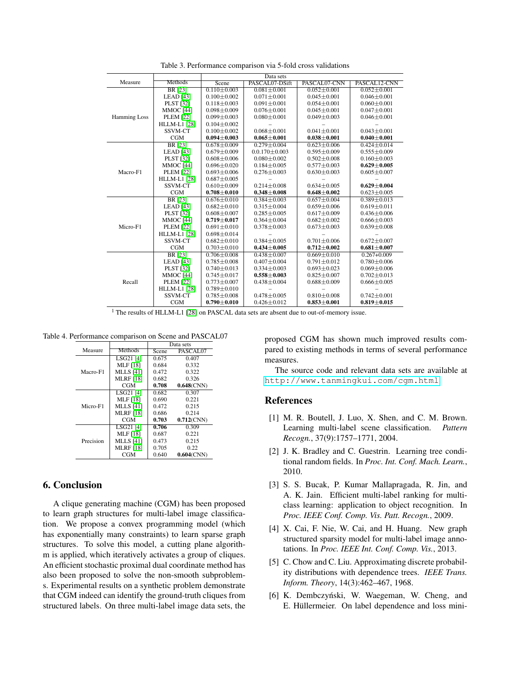|                     |                     | Data sets         |                     |                   |                   |  |  |
|---------------------|---------------------|-------------------|---------------------|-------------------|-------------------|--|--|
| Measure             | Methods             | Scene             | PASCAL07-DSift      | PASCAL07-CNN      | PASCAL12-CNN      |  |  |
|                     | <b>BR</b> [23]      | $0.110 \pm 0.003$ | $0.081 \pm 0.001$   | $0.052 \pm 0.001$ | $0.052 \pm 0.001$ |  |  |
|                     | <b>LEAD</b> [43]    | $0.100 + 0.002$   | $0.071 \pm 0.001$   | $0.045 \pm 0.001$ | $0.046 \pm 0.001$ |  |  |
|                     | PLST [32]           | $0.118 \pm 0.003$ | $0.091 \pm 0.001$   | $0.054 \pm 0.001$ | $0.060 \pm 0.001$ |  |  |
|                     | <b>MMOC</b> [44]    | $0.098 \pm 0.009$ | $0.076 \pm 0.001$   | $0.045 \pm 0.001$ | $0.047 \pm 0.001$ |  |  |
| <b>Hamming Loss</b> | <b>PLEM</b> [22]    | $0.099 \pm 0.003$ | $0.080 \pm 0.001$   | $0.049 \pm 0.003$ | $0.046 \pm 0.001$ |  |  |
|                     | <b>HLLM-L1</b> [28] | $0.104 \pm 0.002$ |                     |                   |                   |  |  |
|                     | SSVM-CT             | $0.100 \pm 0.002$ | $0.068 \pm 0.001$   | $0.041 \pm 0.001$ | $0.043 \pm 0.001$ |  |  |
|                     | CGM                 | $0.094 \pm 0.003$ | $0.065 \pm 0.001$   | $0.038 \pm 0.001$ | $0.040 \pm 0.001$ |  |  |
|                     | BR [23]             | $0.678 \pm 0.009$ | $0.279 \pm 0.004$   | $0.623 \pm 0.006$ | $0.424 \pm 0.014$ |  |  |
|                     | <b>LEAD</b> [43]    | $0.679 \pm 0.009$ | $0.0.170 \pm 0.003$ | $0.595 \pm 0.009$ | $0.555 \pm 0.009$ |  |  |
|                     | <b>PLST</b> [32]    | $0.608 \pm 0.006$ | $0.080 + 0.002$     | $0.502 \pm 0.008$ | $0.160 \pm 0.003$ |  |  |
|                     | <b>MMOC</b> [44]    | $0.696 \pm 0.020$ | $0.184 \pm 0.005$   | $0.577 \pm 0.003$ | $0.629 \pm 0.005$ |  |  |
| Macro-F1            | <b>PLEM</b> [22]    | $0.693 \pm 0.006$ | $0.276 \pm 0.003$   | $0.630 \pm 0.003$ | $0.605 \pm 0.007$ |  |  |
|                     | <b>HLLM-L1</b> [28] | $0.687 \pm 0.005$ |                     |                   |                   |  |  |
|                     | <b>SSVM-CT</b>      | $0.610 \pm 0.009$ | $0.214 \pm 0.008$   | $0.634 \pm 0.005$ | $0.629 \pm 0.004$ |  |  |
|                     | CGM                 | $0.708 + 0.010$   | $0.348 + 0.008$     | $0.648 + 0.002$   | $0.623 \pm 0.005$ |  |  |
|                     | <b>BR</b> [23]      | $0.676 + 0.010$   | $0.384 + 0.003$     | $0.657 + 0.004$   | $0.389 + 0.013$   |  |  |
|                     | <b>LEAD</b> [43]    | $0.682 \pm 0.010$ | $0.315 \pm 0.004$   | $0.659 \pm 0.006$ | $0.619 \pm 0.011$ |  |  |
|                     | <b>PLST</b> [32]    | $0.608 \pm 0.007$ | $0.285 \pm 0.005$   | $0.617 \pm 0.009$ | $0.436 \pm 0.006$ |  |  |
|                     | <b>MMOC</b> [44]    | $0.719 \pm 0.017$ | $0.364 \pm 0.004$   | $0.682 \pm 0.002$ | $0.666 \pm 0.003$ |  |  |
| Micro-F1            | <b>PLEM</b> [22]    | $0.691 \pm 0.010$ | $0.378 \pm 0.003$   | $0.673 \pm 0.003$ | $0.639 \pm 0.008$ |  |  |
|                     | <b>HLLM-L1</b> [28] | $0.698 \pm 0.014$ |                     |                   |                   |  |  |
|                     | <b>SSVM-CT</b>      | $0.682 \pm 0.010$ | $0.384 \pm 0.005$   | $0.701 \pm 0.006$ | $0.672 \pm 0.007$ |  |  |
|                     | CGM                 | $0.703 \pm 0.010$ | $0.434 \pm 0.005$   | $0.712 \pm 0.002$ | $0.681 + 0.007$   |  |  |
| Recall              | <b>BR</b> [23]      | $0.706 \pm 0.008$ | $0.438 + 0.007$     | $0.669 + 0.010$   | $0.267 + 0.009$   |  |  |
|                     | <b>LEAD</b> [43]    | $0.785 \pm 0.008$ | $0.407 \pm 0.004$   | $0.791 \pm 0.012$ | $0.780 \pm 0.006$ |  |  |
|                     | <b>PLST</b> [32]    | $0.740 \pm 0.013$ | $0.334 \pm 0.003$   | $0.693 \pm 0.023$ | $0.069 \pm 0.006$ |  |  |
|                     | <b>MMOC</b> [44]    | $0.745 \pm 0.017$ | $0.558 + 0.003$     | $0.825 + 0.007$   | $0.702 + 0.013$   |  |  |
|                     | <b>PLEM</b> [22]    | $0.773 \pm 0.007$ | $0.438 \pm 0.004$   | $0.688 \pm 0.009$ | $0.666 \pm 0.005$ |  |  |
|                     | <b>HLLM-L1</b> [28] | $0.789 \pm 0.010$ |                     |                   |                   |  |  |
|                     | <b>SSVM-CT</b>      | $0.785 \pm 0.008$ | $0.478 \pm 0.005$   | $0.810 \pm 0.008$ | $0.742 \pm 0.001$ |  |  |
|                     | CGM                 | $0.790 \pm 0.010$ | $0.426 + 0.012$     | $0.853 + 0.001$   | $0.819 + 0.015$   |  |  |

<span id="page-7-6"></span>Table 3. Performance comparison via 5-fold cross validations

<sup>1</sup> The results of HLLM-L1 [\[28\]](#page-8-9) on PASCAL data sets are absent due to out-of-memory issue.

Table 4. Performance comparison on Scene and PASCAL07

<span id="page-7-7"></span>

|           |                  | Data sets |               |  |
|-----------|------------------|-----------|---------------|--|
| Measure   | Methods          | Scene     | PASCAL07      |  |
|           | LSG21 [4]        | 0.675     | 0.407         |  |
|           | <b>MLF</b> [18]  | 0.684     | 0.332         |  |
| Macro-F1  | <b>MLLS</b> [41] | 0.472     | 0.322         |  |
|           | <b>MLRF</b> [18] | 0.682     | 0.326         |  |
|           | CGM              | 0.708     | $0.648$ (CNN) |  |
|           | LSG21 [4]        | 0.682     | 0.307         |  |
|           | MLF [18]         | 0.690     | 0.221         |  |
| Micro-F1  | <b>MLLS</b> [41] | 0.472     | 0.215         |  |
|           | <b>MLRF</b> [18] | 0.686     | 0.214         |  |
|           | CGM              | 0.703     | $0.712$ (CNN) |  |
|           | LSG21 [4]        | 0.706     | 0.309         |  |
|           | <b>MLF</b> [18]  | 0.687     | 0.221         |  |
| Precision | <b>MLLS</b> [41] | 0.473     | 0.215         |  |
|           | <b>MLRF</b> [18] | 0.705     | 0.22          |  |
|           | CGM              | 0.640     | $0.604$ (CNN) |  |

## 6. Conclusion

A clique generating machine (CGM) has been proposed to learn graph structures for multi-label image classification. We propose a convex programming model (which has exponentially many constraints) to learn sparse graph structures. To solve this model, a cutting plane algorithm is applied, which iteratively activates a group of cliques. An efficient stochastic proximal dual coordinate method has also been proposed to solve the non-smooth subproblems. Experimental results on a synthetic problem demonstrate that CGM indeed can identify the ground-truth cliques from structured labels. On three multi-label image data sets, the proposed CGM has shown much improved results compared to existing methods in terms of several performance measures.

The source code and relevant data sets are available at <http://www.tanmingkui.com/cgm.html>.

### References

- <span id="page-7-0"></span>[1] M. R. Boutell, J. Luo, X. Shen, and C. M. Brown. Learning multi-label scene classification. *Pattern Recogn.*, 37(9):1757–1771, 2004.
- <span id="page-7-3"></span>[2] J. K. Bradley and C. Guestrin. Learning tree conditional random fields. In *Proc. Int. Conf. Mach. Learn.*, 2010.
- <span id="page-7-1"></span>[3] S. S. Bucak, P. Kumar Mallapragada, R. Jin, and A. K. Jain. Efficient multi-label ranking for multiclass learning: application to object recognition. In *Proc. IEEE Conf. Comp. Vis. Patt. Recogn.*, 2009.
- <span id="page-7-5"></span>[4] X. Cai, F. Nie, W. Cai, and H. Huang. New graph structured sparsity model for multi-label image annotations. In *Proc. IEEE Int. Conf. Comp. Vis.*, 2013.
- <span id="page-7-2"></span>[5] C. Chow and C. Liu. Approximating discrete probability distributions with dependence trees. *IEEE Trans. Inform. Theory*, 14(3):462–467, 1968.
- <span id="page-7-4"></span>[6] K. Dembczyński, W. Waegeman, W. Cheng, and E. Hüllermeier. On label dependence and loss mini-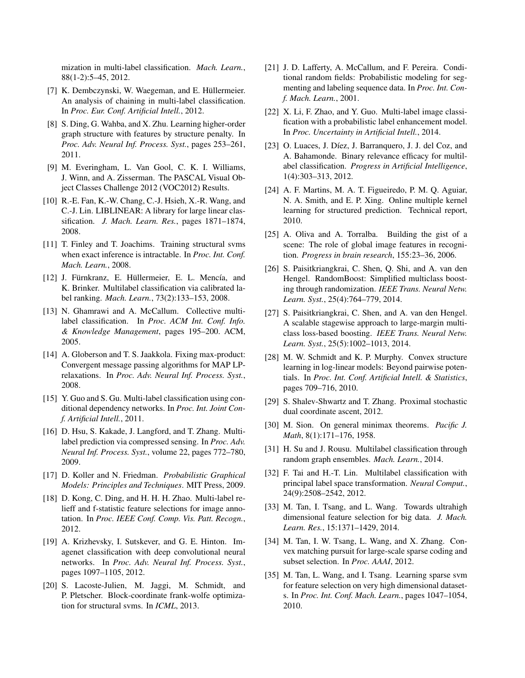mization in multi-label classification. *Mach. Learn.*, 88(1-2):5–45, 2012.

- <span id="page-8-12"></span>[7] K. Dembczynski, W. Waegeman, and E. Hüllermeier. An analysis of chaining in multi-label classification. In *Proc. Eur. Conf. Artificial Intell.*, 2012.
- <span id="page-8-13"></span>[8] S. Ding, G. Wahba, and X. Zhu. Learning higher-order graph structure with features by structure penalty. In *Proc. Adv. Neural Inf. Process. Syst.*, pages 253–261, 2011.
- <span id="page-8-23"></span>[9] M. Everingham, L. Van Gool, C. K. I. Williams, J. Winn, and A. Zisserman. The PASCAL Visual Object Classes Challenge 2012 (VOC2012) Results.
- <span id="page-8-26"></span>[10] R.-E. Fan, K.-W. Chang, C.-J. Hsieh, X.-R. Wang, and C.-J. Lin. LIBLINEAR: A library for large linear classification. *J. Mach. Learn. Res.*, pages 1871–1874, 2008.
- <span id="page-8-5"></span>[11] T. Finley and T. Joachims. Training structural svms when exact inference is intractable. In *Proc. Int. Conf. Mach. Learn.*, 2008.
- <span id="page-8-1"></span>[12] J. Fürnkranz, E. Hüllermeier, E. L. Mencía, and K. Brinker. Multilabel classification via calibrated label ranking. *Mach. Learn.*, 73(2):133–153, 2008.
- <span id="page-8-4"></span>[13] N. Ghamrawi and A. McCallum. Collective multilabel classification. In *Proc. ACM Int. Conf. Info. & Knowledge Management*, pages 195–200. ACM, 2005.
- <span id="page-8-22"></span>[14] A. Globerson and T. S. Jaakkola. Fixing max-product: Convergent message passing algorithms for MAP LPrelaxations. In *Proc. Adv. Neural Inf. Process. Syst.*, 2008.
- <span id="page-8-6"></span>[15] Y. Guo and S. Gu. Multi-label classification using conditional dependency networks. In *Proc. Int. Joint Conf. Artificial Intell.*, 2011.
- <span id="page-8-2"></span>[16] D. Hsu, S. Kakade, J. Langford, and T. Zhang. Multilabel prediction via compressed sensing. In *Proc. Adv. Neural Inf. Process. Syst.*, volume 22, pages 772–780, 2009.
- <span id="page-8-0"></span>[17] D. Koller and N. Friedman. *Probabilistic Graphical Models: Principles and Techniques*. MIT Press, 2009.
- <span id="page-8-27"></span>[18] D. Kong, C. Ding, and H. H. H. Zhao. Multi-label relieff and f-statistic feature selections for image annotation. In *Proc. IEEE Conf. Comp. Vis. Patt. Recogn.*, 2012.
- <span id="page-8-24"></span>[19] A. Krizhevsky, I. Sutskever, and G. E. Hinton. Imagenet classification with deep convolutional neural networks. In *Proc. Adv. Neural Inf. Process. Syst.*, pages 1097–1105, 2012.
- <span id="page-8-15"></span>[20] S. Lacoste-Julien, M. Jaggi, M. Schmidt, and P. Pletscher. Block-coordinate frank-wolfe optimization for structural svms. In *ICML*, 2013.
- <span id="page-8-14"></span>[21] J. D. Lafferty, A. McCallum, and F. Pereira. Conditional random fields: Probabilistic modeling for segmenting and labeling sequence data. In *Proc. Int. Conf. Mach. Learn.*, 2001.
- <span id="page-8-8"></span>[22] X. Li, F. Zhao, and Y. Guo. Multi-label image classification with a probabilistic label enhancement model. In *Proc. Uncertainty in Artificial Intell.*, 2014.
- <span id="page-8-25"></span>[23] O. Luaces, J. Díez, J. Barranquero, J. J. del Coz, and A. Bahamonde. Binary relevance efficacy for multilabel classification. *Progress in Artificial Intelligence*, 1(4):303–313, 2012.
- <span id="page-8-19"></span>[24] A. F. Martins, M. A. T. Figueiredo, P. M. O. Aguiar, N. A. Smith, and E. P. Xing. Online multiple kernel learning for structured prediction. Technical report, 2010.
- <span id="page-8-28"></span>[25] A. Oliva and A. Torralba. Building the gist of a scene: The role of global image features in recognition. *Progress in brain research*, 155:23–36, 2006.
- <span id="page-8-10"></span>[26] S. Paisitkriangkrai, C. Shen, Q. Shi, and A. van den Hengel. RandomBoost: Simplified multiclass boosting through randomization. *IEEE Trans. Neural Netw. Learn. Syst.*, 25(4):764–779, 2014.
- <span id="page-8-11"></span>[27] S. Paisitkriangkrai, C. Shen, and A. van den Hengel. A scalable stagewise approach to large-margin multiclass loss-based boosting. *IEEE Trans. Neural Netw. Learn. Syst.*, 25(5):1002–1013, 2014.
- <span id="page-8-9"></span>[28] M. W. Schmidt and K. P. Murphy. Convex structure learning in log-linear models: Beyond pairwise potentials. In *Proc. Int. Conf. Artificial Intell. & Statistics*, pages 709–716, 2010.
- <span id="page-8-21"></span>[29] S. Shalev-Shwartz and T. Zhang. Proximal stochastic dual coordinate ascent, 2012.
- <span id="page-8-16"></span>[30] M. Sion. On general minimax theorems. *Pacific J. Math*, 8(1):171–176, 1958.
- <span id="page-8-7"></span>[31] H. Su and J. Rousu. Multilabel classification through random graph ensembles. *Mach. Learn.*, 2014.
- <span id="page-8-3"></span>[32] F. Tai and H.-T. Lin. Multilabel classification with principal label space transformation. *Neural Comput.*, 24(9):2508–2542, 2012.
- <span id="page-8-18"></span>[33] M. Tan, I. Tsang, and L. Wang. Towards ultrahigh dimensional feature selection for big data. *J. Mach. Learn. Res.*, 15:1371–1429, 2014.
- <span id="page-8-20"></span>[34] M. Tan, I. W. Tsang, L. Wang, and X. Zhang. Convex matching pursuit for large-scale sparse coding and subset selection. In *Proc. AAAI*, 2012.
- <span id="page-8-17"></span>[35] M. Tan, L. Wang, and I. Tsang. Learning sparse svm for feature selection on very high dimensional datasets. In *Proc. Int. Conf. Mach. Learn.*, pages 1047–1054, 2010.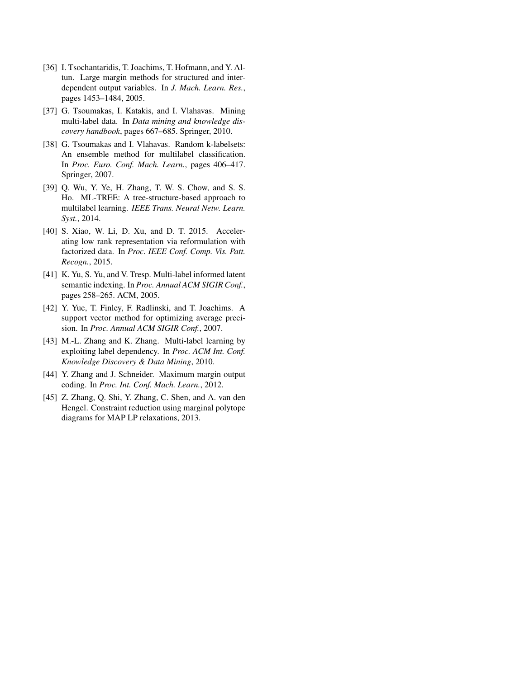- <span id="page-9-5"></span>[36] I. Tsochantaridis, T. Joachims, T. Hofmann, and Y. Altun. Large margin methods for structured and interdependent output variables. In *J. Mach. Learn. Res.*, pages 1453–1484, 2005.
- <span id="page-9-1"></span>[37] G. Tsoumakas, I. Katakis, and I. Vlahavas. Mining multi-label data. In *Data mining and knowledge discovery handbook*, pages 667–685. Springer, 2010.
- <span id="page-9-2"></span>[38] G. Tsoumakas and I. Vlahavas. Random k-labelsets: An ensemble method for multilabel classification. In *Proc. Euro. Conf. Mach. Learn.*, pages 406–417. Springer, 2007.
- <span id="page-9-0"></span>[39] Q. Wu, Y. Ye, H. Zhang, T. W. S. Chow, and S. S. Ho. ML-TREE: A tree-structure-based approach to multilabel learning. *IEEE Trans. Neural Netw. Learn. Syst.*, 2014.
- <span id="page-9-6"></span>[40] S. Xiao, W. Li, D. Xu, and D. T. 2015. Accelerating low rank representation via reformulation with factorized data. In *Proc. IEEE Conf. Comp. Vis. Patt. Recogn.*, 2015.
- <span id="page-9-9"></span>[41] K. Yu, S. Yu, and V. Tresp. Multi-label informed latent semantic indexing. In *Proc. Annual ACM SIGIR Conf.*, pages 258–265. ACM, 2005.
- <span id="page-9-8"></span>[42] Y. Yue, T. Finley, F. Radlinski, and T. Joachims. A support vector method for optimizing average precision. In *Proc. Annual ACM SIGIR Conf.*, 2007.
- <span id="page-9-4"></span>[43] M.-L. Zhang and K. Zhang. Multi-label learning by exploiting label dependency. In *Proc. ACM Int. Conf. Knowledge Discovery & Data Mining*, 2010.
- <span id="page-9-3"></span>[44] Y. Zhang and J. Schneider. Maximum margin output coding. In *Proc. Int. Conf. Mach. Learn.*, 2012.
- <span id="page-9-7"></span>[45] Z. Zhang, O. Shi, Y. Zhang, C. Shen, and A. van den Hengel. Constraint reduction using marginal polytope diagrams for MAP LP relaxations, 2013.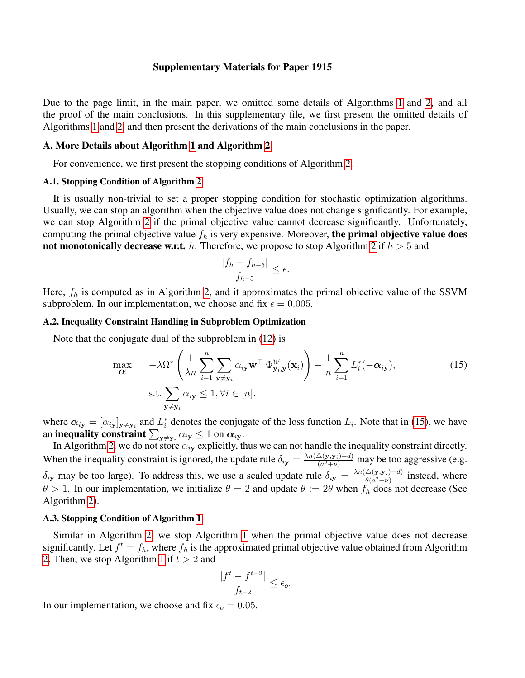## Supplementary Materials for Paper 1915

Due to the page limit, in the main paper, we omitted some details of Algorithms [1](#page-2-3) and [2,](#page-4-2) and all the proof of the main conclusions. In this supplementary file, we first present the omitted details of Algorithms [1](#page-2-3) and [2,](#page-4-2) and then present the derivations of the main conclusions in the paper.

## A. More Details about Algorithm [1](#page-2-3) and Algorithm [2](#page-4-2)

For convenience, we first present the stopping conditions of Algorithm [2.](#page-4-2)

## A.1. Stopping Condition of Algorithm [2](#page-4-2)

It is usually non-trivial to set a proper stopping condition for stochastic optimization algorithms. Usually, we can stop an algorithm when the objective value does not change significantly. For example, we can stop Algorithm [2](#page-4-2) if the primal objective value cannot decrease significantly. Unfortunately, computing the primal objective value  $f_h$  is very expensive. Moreover, the primal objective value does not monotonically decrease w.r.t. h. Therefore, we propose to stop Algorithm [2](#page-4-2) if  $h > 5$  and

$$
\frac{|f_h - f_{h-5}|}{f_{h-5}} \le \epsilon.
$$

Here,  $f_h$  is computed as in Algorithm [2,](#page-4-2) and it approximates the primal objective value of the SSVM subproblem. In our implementation, we choose and fix  $\epsilon = 0.005$ .

## A.2. Inequality Constraint Handling in Subproblem Optimization

Note that the conjugate dual of the subproblem in [\(12\)](#page-3-5) is

<span id="page-10-0"></span>
$$
\max_{\mathbf{\alpha}} \quad -\lambda \Omega^* \left( \frac{1}{\lambda n} \sum_{i=1}^n \sum_{\mathbf{y} \neq \mathbf{y}_i} \alpha_{i\mathbf{y}} \mathbf{w}^\top \Phi_{\mathbf{y}_i, \mathbf{y}}^{\mathcal{U}^t}(\mathbf{x}_i) \right) - \frac{1}{n} \sum_{i=1}^n L_i^*(-\alpha_{i\mathbf{y}}),
$$
\n
$$
\text{s.t.} \sum_{\mathbf{y} \neq \mathbf{y}_i} \alpha_{i\mathbf{y}} \le 1, \forall i \in [n].
$$
\n(15)

where  $\alpha_{iy} = [\alpha_{iy}]_{y \neq y_i}$  and  $L_i^*$  denotes the conjugate of the loss function  $L_i$ . Note that in [\(15\)](#page-10-0), we have an **inequality constraint**  $\sum_{\mathbf{y}\neq\mathbf{y}_i}\alpha_{i\mathbf{y}}\leq 1$  on  $\boldsymbol{\alpha}_{i\mathbf{y}}.$ 

In Algorithm [2,](#page-4-2) we do not store  $\alpha_{iy}$  explicitly, thus we can not handle the inequality constraint directly. When the inequality constraint is ignored, the update rule  $\delta_{iy} = \frac{\lambda n (\Delta(y, y_i) - d)}{(a^2 + \nu)}$  $\frac{\Delta(\mathbf{y}, \mathbf{y}_i) - a_j}{(a^2 + \nu)}$  may be too aggressive (e.g.  $\delta_{iy}$  may be too large). To address this, we use a scaled update rule  $\delta_{iy} = \frac{\lambda n (\triangle(y, y_i) - d)}{\theta (a^2 + v)}$  $\frac{\triangle(\mathbf{y}, \mathbf{y}_i) - a_j}{\theta(a^2 + \nu)}$  instead, where  $\theta > 1$ . In our implementation, we initialize  $\theta = 2$  and update  $\theta := 2\theta$  when  $f_h$  does not decrease (See Algorithm [2\)](#page-4-2).

## A.3. Stopping Condition of Algorithm [1](#page-2-3)

Similar in Algorithm [2,](#page-4-2) we stop Algorithm [1](#page-2-3) when the primal objective value does not decrease significantly. Let  $f^t = f_h$ , where  $f_h$  is the approximated primal objective value obtained from Algorithm [2.](#page-4-2) Then, we stop Algorithm [1](#page-2-3) if  $t > 2$  and

$$
\frac{|f^t - f^{t-2}|}{f_{t-2}} \le \epsilon_o.
$$

In our implementation, we choose and fix  $\epsilon_o = 0.05$ .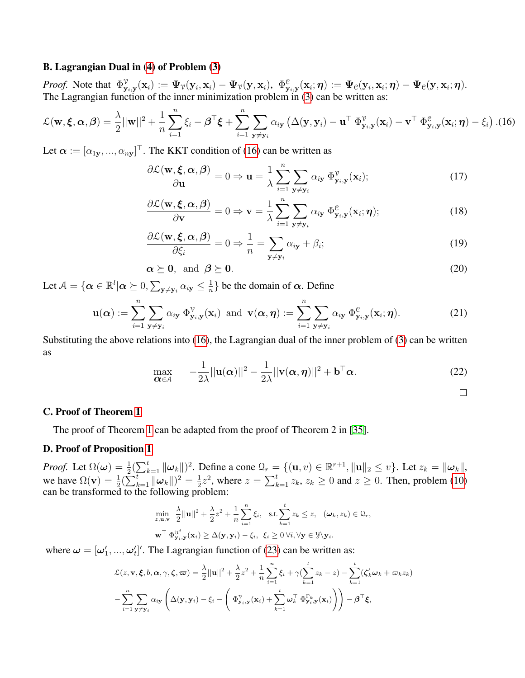## B. Lagrangian Dual in [\(4\)](#page-2-5) of Problem [\(3\)](#page-2-0)

*Proof.* Note that  $\Phi^{\mathcal{V}}_{\mathbf{y}_i,\mathbf{y}}(\mathbf{x}_i) := \Psi_{\mathcal{V}}(\mathbf{y}_i,\mathbf{x}_i) - \Psi_{\mathcal{V}}(\mathbf{y},\mathbf{x}_i)$ ,  $\Phi^{\mathcal{C}}_{\mathbf{y}_i,\mathbf{y}}(\mathbf{x}_i;\boldsymbol{\eta}) := \Psi_{\mathcal{C}}(\mathbf{y}_i,\mathbf{x}_i;\boldsymbol{\eta}) - \Psi_{\mathcal{C}}(\mathbf{y},\mathbf{x}_i;\boldsymbol{\eta})$ . The Lagrangian function of the inner minimization problem in [\(3\)](#page-2-0) can be written as:

<span id="page-11-0"></span>
$$
\mathcal{L}(\mathbf{w}, \boldsymbol{\xi}, \boldsymbol{\alpha}, \boldsymbol{\beta}) = \frac{\lambda}{2} ||\mathbf{w}||^2 + \frac{1}{n} \sum_{i=1}^n \xi_i - \boldsymbol{\beta}^\top \boldsymbol{\xi} + \sum_{i=1}^n \sum_{\mathbf{y} \neq \mathbf{y}_i} \alpha_{i\mathbf{y}} \left( \Delta(\mathbf{y}, \mathbf{y}_i) - \mathbf{u}^\top \boldsymbol{\Phi}_{\mathbf{y}_i, \mathbf{y}}^\mathbf{y}(\mathbf{x}_i) - \mathbf{v}^\top \boldsymbol{\Phi}_{\mathbf{y}_i, \mathbf{y}}^\mathbf{e}(\mathbf{x}_i; \boldsymbol{\eta}) - \xi_i \right).
$$
(16)

Let  $\boldsymbol{\alpha} := [\alpha_{1y}, ..., \alpha_{ny}]^\top$ . The KKT condition of [\(16\)](#page-11-0) can be written as

$$
\frac{\partial \mathcal{L}(\mathbf{w}, \boldsymbol{\xi}, \boldsymbol{\alpha}, \boldsymbol{\beta})}{\partial \mathbf{u}} = 0 \Rightarrow \mathbf{u} = \frac{1}{\lambda} \sum_{i=1}^{n} \sum_{\mathbf{y} \neq \mathbf{y}_i} \alpha_{i\mathbf{y}} \, \Phi_{\mathbf{y}_i, \mathbf{y}}^{\mathcal{V}}(\mathbf{x}_i); \tag{17}
$$

$$
\frac{\partial \mathcal{L}(\mathbf{w}, \boldsymbol{\xi}, \boldsymbol{\alpha}, \boldsymbol{\beta})}{\partial \mathbf{v}} = 0 \Rightarrow \mathbf{v} = \frac{1}{\lambda} \sum_{i=1}^{n} \sum_{\mathbf{y} \neq \mathbf{y}_{i}} \alpha_{i\mathbf{y}} \, \Phi_{\mathbf{y}_{i}, \mathbf{y}}^{e}(\mathbf{x}_{i}; \boldsymbol{\eta});
$$
\n(18)

$$
\frac{\partial \mathcal{L}(\mathbf{w}, \boldsymbol{\xi}, \boldsymbol{\alpha}, \boldsymbol{\beta})}{\partial \xi_i} = 0 \Rightarrow \frac{1}{n} = \sum_{\mathbf{y} \neq \mathbf{y}_i} \alpha_{i\mathbf{y}} + \beta_i; \tag{19}
$$

$$
\alpha \succeq 0, \text{ and } \beta \succeq 0. \tag{20}
$$

Let  $\mathcal{A}=\{\boldsymbol{\alpha}\in\mathbb{R}^l|\boldsymbol{\alpha}\succeq 0, \sum_{\mathbf{y}\neq \mathbf{y}_i}\alpha_{i\mathbf{y}}\leq \frac{1}{n}\}$  $\frac{1}{n}$ } be the domain of  $\alpha$ . Define

$$
\mathbf{u}(\boldsymbol{\alpha}) := \sum_{i=1}^{n} \sum_{\mathbf{y} \neq \mathbf{y}_i} \alpha_{i\mathbf{y}} \, \Phi_{\mathbf{y}_i,\mathbf{y}}^{\mathcal{V}}(\mathbf{x}_i) \text{ and } \mathbf{v}(\boldsymbol{\alpha},\boldsymbol{\eta}) := \sum_{i=1}^{n} \sum_{\mathbf{y} \neq \mathbf{y}_i} \alpha_{i\mathbf{y}} \, \Phi_{\mathbf{y}_i,\mathbf{y}}^{\mathcal{C}}(\mathbf{x}_i;\boldsymbol{\eta}). \tag{21}
$$

Substituting the above relations into [\(16\)](#page-11-0), the Lagrangian dual of the inner problem of [\(3\)](#page-2-0) can be written as

$$
\max_{\mathbf{\alpha} \in \mathcal{A}} \quad -\frac{1}{2\lambda} ||\mathbf{u}(\mathbf{\alpha})||^2 - \frac{1}{2\lambda} ||\mathbf{v}(\mathbf{\alpha}, \boldsymbol{\eta})||^2 + \mathbf{b}^\top \mathbf{\alpha}.
$$

 $\Box$ 

## C. Proof of Theorem [1](#page-3-6)

The proof of Theorem [1](#page-3-6) can be adapted from the proof of Theorem 2 in [\[35\]](#page-8-17).

## D. Proof of Proposition [1](#page-3-7)

*Proof.* Let  $\Omega(\boldsymbol{\omega}) = \frac{1}{2} (\sum_{k=1}^t ||\boldsymbol{\omega}_k||)^2$ . Define a cone  $\Omega_r = \{(\mathbf{u}, v) \in \mathbb{R}^{r+1}, ||\mathbf{u}||_2 \le v\}$ . Let  $z_k = ||\boldsymbol{\omega}_k||$ , we have  $\Omega(\mathbf{v}) = \frac{1}{2} (\sum_{k=1}^{t} ||\boldsymbol{\omega}_k||)^2 = \frac{1}{2}$  $\frac{1}{2}z^2$ , where  $z = \sum_{k=1}^t z_k$ ,  $z_k \ge 0$  and  $z \ge 0$ . Then, problem [\(10\)](#page-3-2) can be transformed to the following problem:

<span id="page-11-1"></span>
$$
\min_{z, \mathbf{u}, \mathbf{v}} \frac{\lambda}{2} ||\mathbf{u}||^2 + \frac{\lambda}{2} z^2 + \frac{1}{n} \sum_{i=1}^n \xi_i, \text{ s.t.} \sum_{k=1}^t z_k \le z, \ (\boldsymbol{\omega}_k, z_k) \in \mathcal{Q}_r,
$$
  

$$
\mathbf{w}^\top \Phi_{\mathbf{y}_i, \mathbf{y}}^{u^t}(\mathbf{x}_i) \ge \Delta(\mathbf{y}, \mathbf{y}_i) - \xi_i, \ \xi_i \ge 0 \ \forall i, \forall \mathbf{y} \in \mathcal{Y} \setminus \mathbf{y}_i.
$$

where  $\boldsymbol{\omega} = [\omega'_1, ..., \omega'_t]'$ . The Lagrangian function of [\(23\)](#page-11-1) can be written as:

$$
\mathcal{L}(z, \mathbf{v}, \boldsymbol{\xi}, b, \boldsymbol{\alpha}, \gamma, \boldsymbol{\zeta}, \boldsymbol{\varpi}) = \frac{\lambda}{2} ||\mathbf{u}||^2 + \frac{\lambda}{2} z^2 + \frac{1}{n} \sum_{i=1}^n \xi_i + \gamma (\sum_{k=1}^t z_k - z) - \sum_{k=1}^t (\zeta_k' \boldsymbol{\omega}_k + \boldsymbol{\varpi}_k z_k)
$$

$$
- \sum_{i=1}^n \sum_{\mathbf{y} \neq \mathbf{y}_i} \alpha_{i\mathbf{y}} \left( \Delta(\mathbf{y}, \mathbf{y}_i) - \xi_i - \left( \Phi_{\mathbf{y}_i, \mathbf{y}}^{\gamma}(\mathbf{x}_i) + \sum_{k=1}^t \boldsymbol{\omega}_k^{\top} \Phi_{\mathbf{y}_i, \mathbf{y}}^{\Gamma_k}(\mathbf{x}_i) \right) \right) - \boldsymbol{\beta}^{\top} \boldsymbol{\xi},
$$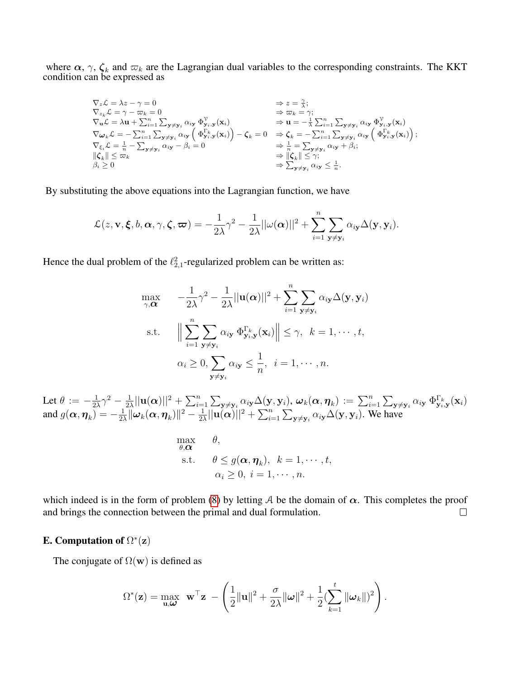where  $\alpha$ ,  $\gamma$ ,  $\zeta_k$  and  $\varpi_k$  are the Lagrangian dual variables to the corresponding constraints. The KKT condition can be expressed as

$$
\nabla_z \mathcal{L} = \lambda z - \gamma = 0 \qquad \Rightarrow z = \frac{\gamma}{\lambda};
$$
\n
$$
\nabla_{z_k} \mathcal{L} = \gamma - \varpi_k = 0 \qquad \Rightarrow \varpi_k = \gamma;
$$
\n
$$
\nabla_{\mathbf{u}} \mathcal{L} = \lambda \mathbf{u} + \sum_{i=1}^n \sum_{\mathbf{y} \neq \mathbf{y}_i} \alpha_{i\mathbf{y}} \Phi_{\mathbf{y}_i, \mathbf{y}}^{\gamma}(\mathbf{x}_i) \qquad \Rightarrow \mathbf{u} = -\frac{1}{\lambda} \sum_{i=1}^n \sum_{\mathbf{y} \neq \mathbf{y}_i} \alpha_{i\mathbf{y}} \Phi_{\mathbf{y}_i, \mathbf{y}}^{\gamma}(\mathbf{x}_i) \qquad \nabla \omega_k \mathcal{L} = -\sum_{i=1}^n \sum_{\mathbf{y} \neq \mathbf{y}_i} \alpha_{i\mathbf{y}} \left( \Phi_{\mathbf{y}_i, \mathbf{y}}^{\Gamma_k}(\mathbf{x}_i) \right) - \zeta_k = 0 \qquad \Rightarrow \zeta_k = -\sum_{i=1}^n \sum_{\mathbf{y} \neq \mathbf{y}_i} \alpha_{i\mathbf{y}} \left( \Phi_{\mathbf{y}_i, \mathbf{y}}^{\Gamma_k}(\mathbf{x}_i) \right);
$$
\n
$$
\nabla_{\xi_i} \mathcal{L} = \frac{1}{n} - \sum_{\mathbf{y} \neq \mathbf{y}_i} \alpha_{i\mathbf{y}} - \beta_i = 0 \qquad \Rightarrow \zeta_k = 0 \qquad \Rightarrow \zeta_k = -\sum_{i=1}^n \sum_{\mathbf{y} \neq \mathbf{y}_i} \alpha_{i\mathbf{y}} \left( \Phi_{\mathbf{y}_i, \mathbf{y}}^{\Gamma_k}(\mathbf{x}_i) \right);
$$
\n
$$
\begin{aligned}\n\|\zeta_k\| \leq \varpi_k && \Rightarrow \|\zeta_k\| \leq \gamma; \\
\delta_k && \geq 0 \end{aligned}
$$

By substituting the above equations into the Lagrangian function, we have

$$
\mathcal{L}(z,\mathbf{v},\boldsymbol{\xi},b,\boldsymbol{\alpha},\gamma,\boldsymbol{\zeta},\boldsymbol{\varpi})=-\frac{1}{2\lambda}\gamma^2-\frac{1}{2\lambda}||\omega(\boldsymbol{\alpha})||^2+\sum_{i=1}^n\sum_{\mathbf{y}\neq\mathbf{y}_i}\alpha_{i\mathbf{y}}\Delta(\mathbf{y},\mathbf{y}_i).
$$

Hence the dual problem of the  $\ell_{2,1}^2$ -regularized problem can be written as:

$$
\max_{\gamma,\alpha} \quad -\frac{1}{2\lambda}\gamma^2 - \frac{1}{2\lambda}||\mathbf{u}(\alpha)||^2 + \sum_{i=1}^n \sum_{\mathbf{y}\neq\mathbf{y}_i} \alpha_{i\mathbf{y}}\Delta(\mathbf{y}, \mathbf{y}_i)
$$
\n
$$
\text{s.t.} \quad \Big\|\sum_{i=1}^n \sum_{\mathbf{y}\neq\mathbf{y}_i} \alpha_{i\mathbf{y}} \Phi_{\mathbf{y}_i,\mathbf{y}}^{\Gamma_k}(\mathbf{x}_i)\Big\| \leq \gamma, \ \ k = 1, \cdots, t,
$$
\n
$$
\alpha_i \geq 0, \sum_{\mathbf{y}\neq\mathbf{y}_i} \alpha_{i\mathbf{y}} \leq \frac{1}{n}, \ \ i = 1, \cdots, n.
$$

Let  $\theta := -\frac{1}{2}$  $\frac{1}{2\lambda}\gamma^2-\frac{1}{2\lambda}$  $\frac{1}{2\lambda}||\mathbf{u}(\boldsymbol{\alpha})||^2+\sum_{i=1}^n\sum_{\mathbf{y}\neq\mathbf{y}_i}\alpha_{i\mathbf{y}}\Delta(\mathbf{y},\mathbf{y}_i),\,\boldsymbol{\omega}_k(\boldsymbol{\alpha},\boldsymbol{\eta}_k):=\sum_{i=1}^n\sum_{\mathbf{y}\neq\mathbf{y}_i}\alpha_{i\mathbf{y}}\,\Phi_{\mathbf{y}_i,\mathbf{y}}^{\Gamma_k}(\mathbf{x}_i)$ and  $g(\boldsymbol{\alpha},\boldsymbol{\eta}_k)=-\frac{1}{2k}$  $\frac{1}{2\lambda}\|\boldsymbol{\omega}_k(\boldsymbol{\alpha},\boldsymbol{\eta}_k)\|^2 - \frac{1}{2\lambda}$  $\frac{1}{2\lambda}||u(\alpha)||^2 + \sum_{i=1}^n \sum_{\mathbf{y}\neq \mathbf{y}_i} \alpha_{i\mathbf{y}} \Delta(\mathbf{y}, \mathbf{y}_i)$ . We have

$$
\begin{array}{ll}\n\max \theta, & \theta, \\
\text{s.t.} & \theta \le g(\boldsymbol{\alpha}, \boldsymbol{\eta}_k), \ k = 1, \cdots, t, \\
\alpha_i \ge 0, \ i = 1, \cdots, n.\n\end{array}
$$

which indeed is in the form of problem [\(8\)](#page-3-0) by letting A be the domain of  $\alpha$ . This completes the proof and brings the connection between the primal and dual formulation.  $\Box$ 

## E. Computation of  $\Omega^*(\mathbf{z})$

The conjugate of  $\Omega(\mathbf{w})$  is defined as

$$
\Omega^*(\mathbf{z}) = \max_{\mathbf{u},\boldsymbol{\omega}} \ \mathbf{w}^\top \mathbf{z} \ -\left(\frac{1}{2} \|\mathbf{u}\|^2 + \frac{\sigma}{2\lambda} \|\boldsymbol{\omega}\|^2 + \frac{1}{2} (\sum_{k=1}^t \|\boldsymbol{\omega}_k\|^2) \right).
$$